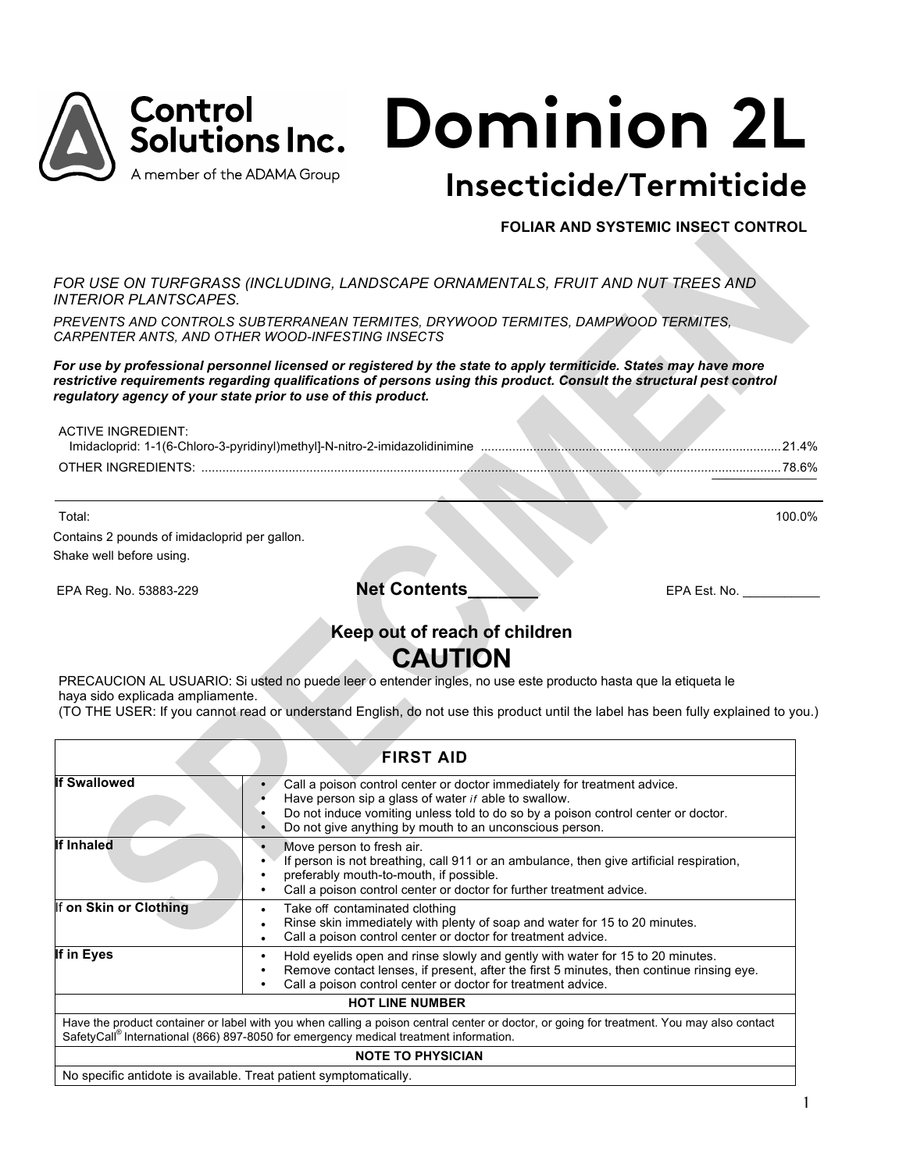

## **FOLIAR AND SYSTEMIC INSECT CONTROL**

*FOR USE ON TURFGRASS (INCLUDING, LANDSCAPE ORNAMENTALS, FRUIT AND NUT TREES AND INTERIOR PLANTSCAPES.*

*PREVENTS AND CONTROLS SUBTERRANEAN TERMITES, DRYWOOD TERMITES, DAMPWOOD TERMITES, CARPENTER ANTS, AND OTHER WOOD-INFESTING INSECTS*

*For use by professional personnel licensed or registered by the state to apply termiticide. States may have more*  restrictive requirements regarding qualifications of persons using this product. Consult the structural pest control *regulatory agency of your state prior to use of this product.*

ACTIVE INGREDIENT: Imidacloprid: 1-1(6-Chloro-3-pyridinyl)methyl]-N-nitro-2-imidazolidinimine ......................................................................................21.4% OTHER INGREDIENTS: ................................................................................................................................................................ \_\_\_\_\_\_\_\_\_\_\_\_\_\_\_ ......78.6% Total: 100.0%

Contains 2 pounds of imidacloprid per gallon. Shake well before using.

EPA Reg. No. 53883-229 **Net Contents\_\_\_\_\_\_\_** EPA Est. No. \_\_\_\_\_\_\_\_\_\_\_

# **Keep out of reach of children**

# **CAUTION**

PRECAUCION AL USUARIO: Si usted no puede leer o entender ingles, no use este producto hasta que la etiqueta le haya sido explicada ampliamente.

(TO THE USER: If you cannot read or understand English, do not use this product until the label has been fully explained to you.)

| <b>FIRST AID</b>                                                                                                                                                                                                                                              |                                                                                                                                                                                                                                                                                         |  |  |
|---------------------------------------------------------------------------------------------------------------------------------------------------------------------------------------------------------------------------------------------------------------|-----------------------------------------------------------------------------------------------------------------------------------------------------------------------------------------------------------------------------------------------------------------------------------------|--|--|
| <b>If Swallowed</b>                                                                                                                                                                                                                                           | Call a poison control center or doctor immediately for treatment advice.<br>Have person sip a glass of water <i>if</i> able to swallow.<br>Do not induce vomiting unless told to do so by a poison control center or doctor.<br>Do not give anything by mouth to an unconscious person. |  |  |
| <b>If Inhaled</b><br>Move person to fresh air.<br>If person is not breathing, call 911 or an ambulance, then give artificial respiration,<br>preferably mouth-to-mouth, if possible.<br>Call a poison control center or doctor for further treatment advice.  |                                                                                                                                                                                                                                                                                         |  |  |
| If on Skin or Clothing                                                                                                                                                                                                                                        | Take off contaminated clothing<br>$\bullet$<br>Rinse skin immediately with plenty of soap and water for 15 to 20 minutes.<br>Call a poison control center or doctor for treatment advice.                                                                                               |  |  |
| If in Eyes<br>Hold eyelids open and rinse slowly and gently with water for 15 to 20 minutes.<br>٠<br>Remove contact lenses, if present, after the first 5 minutes, then continue rinsing eye.<br>Call a poison control center or doctor for treatment advice. |                                                                                                                                                                                                                                                                                         |  |  |
| <b>HOT LINE NUMBER</b>                                                                                                                                                                                                                                        |                                                                                                                                                                                                                                                                                         |  |  |
| Have the product container or label with you when calling a poison central center or doctor, or going for treatment. You may also contact<br>SafetyCall <sup>®</sup> International (866) 897-8050 for emergency medical treatment information.                |                                                                                                                                                                                                                                                                                         |  |  |
| <b>NOTE TO PHYSICIAN</b>                                                                                                                                                                                                                                      |                                                                                                                                                                                                                                                                                         |  |  |
| No specific antidote is available. Treat patient symptomatically.                                                                                                                                                                                             |                                                                                                                                                                                                                                                                                         |  |  |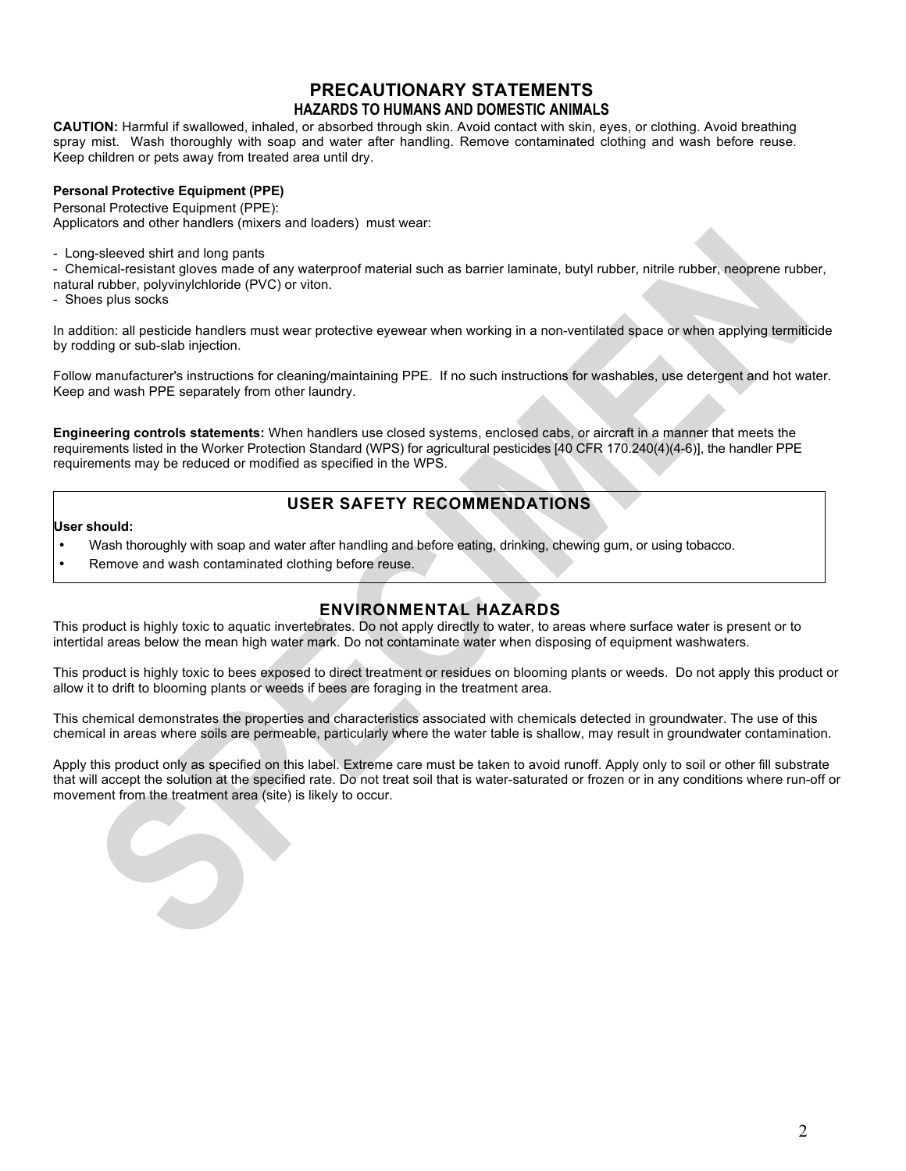## **PRECAUTIONARY STATEMENTS HAZARDS TO HUMANS AND DOMESTIC ANIMALS**

**CAUTION:** Harmful if swallowed, inhaled, or absorbed through skin. Avoid contact with skin, eyes, or clothing. Avoid breathing spray mist. Wash thoroughly with soap and water after handling. Remove contaminated clothing and wash before reuse. Keep children or pets away from treated area until dry.

## **Personal Protective Equipment (PPE)**

Personal Protective Equipment (PPE):

Applicators and other handlers (mixers and loaders) must wear:

- Long-sleeved shirt and long pants

- Chemical-resistant gloves made of any waterproof material such as barrier laminate, butyl rubber, nitrile rubber, neoprene rubber, natural rubber, polyvinylchloride (PVC) or viton.

- Shoes plus socks

In addition: all pesticide handlers must wear protective eyewear when working in a non-ventilated space or when applying termiticide by rodding or sub-slab injection.

Follow manufacturer's instructions for cleaning/maintaining PPE. If no such instructions for washables, use detergent and hot water. Keep and wash PPE separately from other laundry.

**Engineering controls statements:** When handlers use closed systems, enclosed cabs, or aircraft in a manner that meets the requirements listed in the Worker Protection Standard (WPS) for agricultural pesticides [40 CFR 170.240(4)(4-6)], the handler PPE requirements may be reduced or modified as specified in the WPS.

## **USER SAFETY RECOMMENDATIONS**

#### **User should:**

- Wash thoroughly with soap and water after handling and before eating, drinking, chewing gum, or using tobacco.
- Remove and wash contaminated clothing before reuse.

## **ENVIRONMENTAL HAZARDS**

This product is highly toxic to aquatic invertebrates. Do not apply directly to water, to areas where surface water is present or to intertidal areas below the mean high water mark. Do not contaminate water when disposing of equipment washwaters.

This product is highly toxic to bees exposed to direct treatment or residues on blooming plants or weeds. Do not apply this product or allow it to drift to blooming plants or weeds if bees are foraging in the treatment area.

This chemical demonstrates the properties and characteristics associated with chemicals detected in groundwater. The use of this chemical in areas where soils are permeable, particularly where the water table is shallow, may result in groundwater contamination.

Apply this product only as specified on this label. Extreme care must be taken to avoid runoff. Apply only to soil or other fill substrate that will accept the solution at the specified rate. Do not treat soil that is water-saturated or frozen or in any conditions where run-off or movement from the treatment area (site) is likely to occur.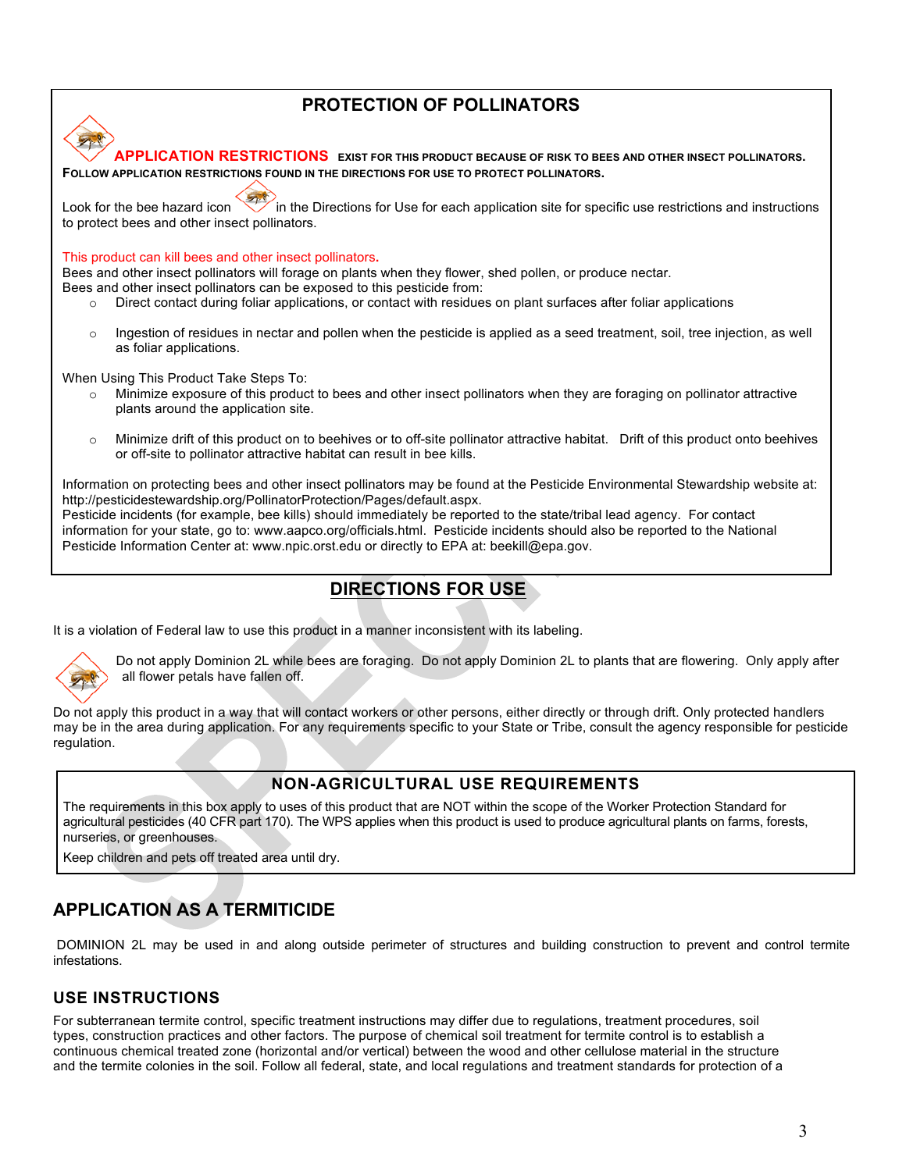## **PROTECTION OF POLLINATORS**



Pesticide incidents (for example, bee kills) should immediately be reported to the state/tribal lead agency. For contact information for your state, go to: www.aapco.org/officials.html. Pesticide incidents should also be reported to the National Pesticide Information Center at: www.npic.orst.edu or directly to EPA at: beekill@epa.gov.

## **DIRECTIONS FOR USE**

It is a violation of Federal law to use this product in a manner inconsistent with its labeling.



Do not apply Dominion 2L while bees are foraging. Do not apply Dominion 2L to plants that are flowering. Only apply after all flower petals have fallen off.

Do not apply this product in a way that will contact workers or other persons, either directly or through drift. Only protected handlers may be in the area during application. For any requirements specific to your State or Tribe, consult the agency responsible for pesticide regulation.

## **NON-AGRICULTURAL USE REQUIREMENTS**

The requirements in this box apply to uses of this product that are NOT within the scope of the Worker Protection Standard for agricultural pesticides (40 CFR part 170). The WPS applies when this product is used to produce agricultural plants on farms, forests, nurseries, or greenhouses.

Keep children and pets off treated area until dry.

## **APPLICATION AS A TERMITICIDE**

DOMINION 2L may be used in and along outside perimeter of structures and building construction to prevent and control termite infestations.

## **USE INSTRUCTIONS**

For subterranean termite control, specific treatment instructions may differ due to regulations, treatment procedures, soil types, construction practices and other factors. The purpose of chemical soil treatment for termite control is to establish a continuous chemical treated zone (horizontal and/or vertical) between the wood and other cellulose material in the structure and the termite colonies in the soil. Follow all federal, state, and local regulations and treatment standards for protection of a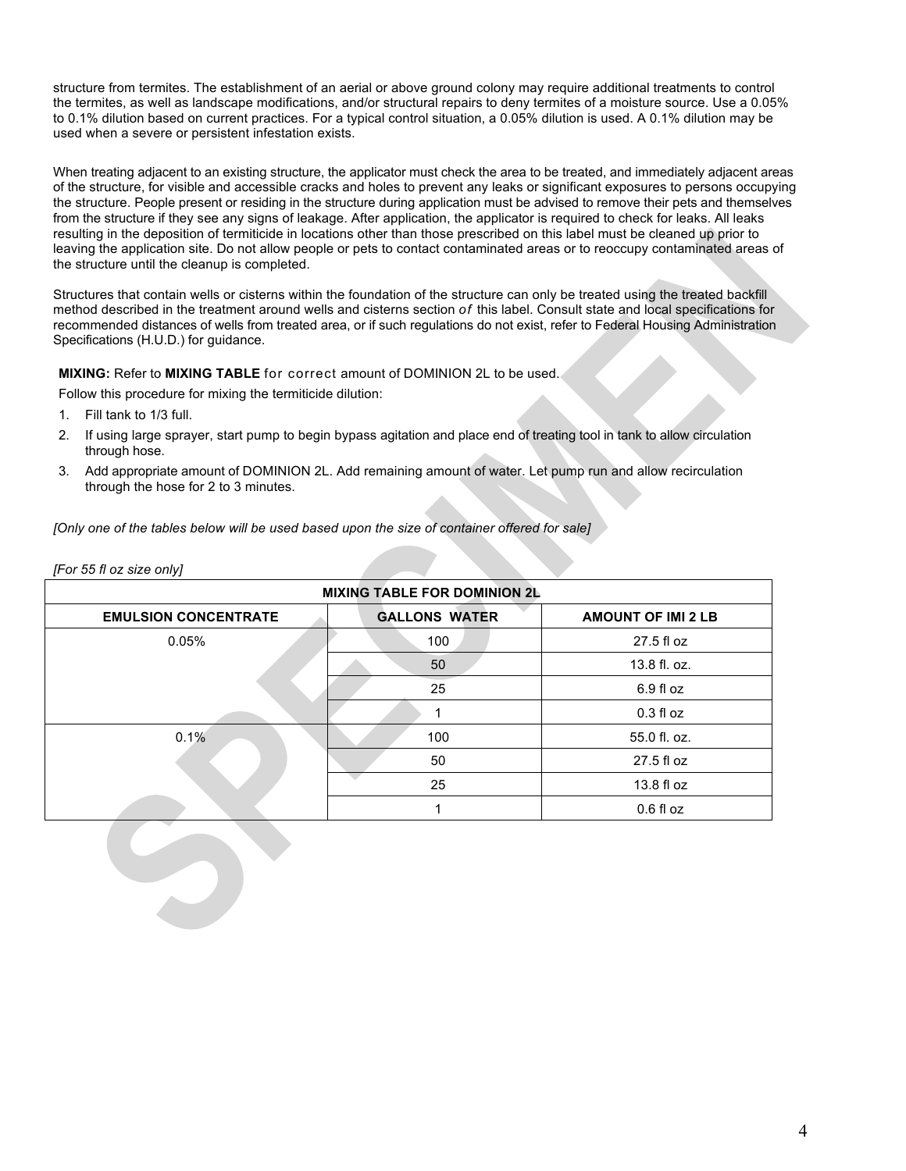structure from termites. The establishment of an aerial or above ground colony may require additional treatments to control the termites, as well as landscape modifications, and/or structural repairs to deny termites of a moisture source. Use a 0.05% to 0.1% dilution based on current practices. For a typical control situation, a 0.05% dilution is used. A 0.1% dilution may be used when a severe or persistent infestation exists.

When treating adjacent to an existing structure, the applicator must check the area to be treated, and immediately adjacent areas of the structure, for visible and accessible cracks and holes to prevent any leaks or significant exposures to persons occupying the structure. People present or residing in the structure during application must be advised to remove their pets and themselves from the structure if they see any signs of leakage. After application, the applicator is required to check for leaks. All leaks resulting in the deposition of termiticide in locations other than those prescribed on this label must be cleaned up prior to leaving the application site. Do not allow people or pets to contact contaminated areas or to reoccupy contaminated areas of the structure until the cleanup is completed.

Structures that contain wells or cisterns within the foundation of the structure can only be treated using the treated backfill method described in the treatment around wells and cisterns section *of* this label. Consult state and local specifications for recommended distances of wells from treated area, or if such regulations do not exist, refer to Federal Housing Administration Specifications (H.U.D.) for guidance.

**MIXING:** Refer to **MIXING TABLE** for correct amount of DOMINION 2L to be used.

Follow this procedure for mixing the termiticide dilution:

- 1. Fill tank to 1/3 full.
- 2. If using large sprayer, start pump to begin bypass agitation and place end of treating tool in tank to allow circulation through hose.
- 3. Add appropriate amount of DOMINION 2L. Add remaining amount of water. Let pump run and allow recirculation through the hose for 2 to 3 minutes.

*[Only one of the tables below will be used based upon the size of container offered for sale]*

*[For 55 fl oz size only]*

| <b>MIXING TABLE FOR DOMINION 2L</b> |                      |                           |  |  |
|-------------------------------------|----------------------|---------------------------|--|--|
| <b>EMULSION CONCENTRATE</b>         | <b>GALLONS WATER</b> | <b>AMOUNT OF IMI 2 LB</b> |  |  |
| 0.05%                               | 100                  | 27.5 fl oz                |  |  |
|                                     | 50                   | 13.8 fl. oz.              |  |  |
|                                     | 25                   | $6.9f$ loz                |  |  |
|                                     |                      | $0.3 f$ l oz              |  |  |
| 0.1%                                | 100                  | 55.0 fl. oz.              |  |  |
|                                     | 50                   | 27.5 fl oz                |  |  |
|                                     | 25                   | 13.8 fl oz                |  |  |
|                                     |                      | $0.6f$ loz                |  |  |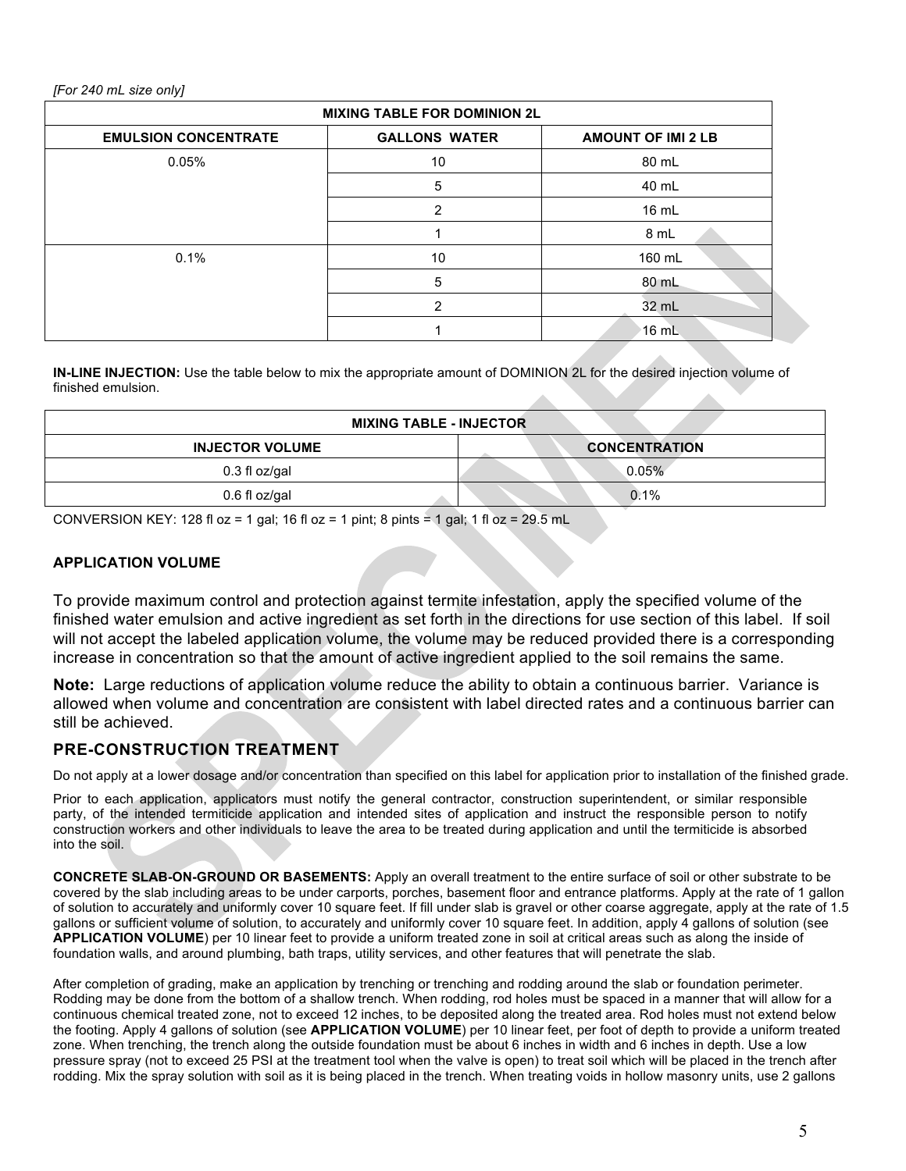## *[For 240 mL size only]*

| <b>MIXING TABLE FOR DOMINION 2L</b> |                      |                           |  |  |
|-------------------------------------|----------------------|---------------------------|--|--|
| <b>EMULSION CONCENTRATE</b>         | <b>GALLONS WATER</b> | <b>AMOUNT OF IMI 2 LB</b> |  |  |
| 0.05%                               | 10                   | 80 mL                     |  |  |
|                                     | 5                    | 40 mL                     |  |  |
|                                     | 2                    | 16 mL                     |  |  |
|                                     |                      | 8 mL                      |  |  |
| 0.1%                                | 10                   | 160 mL                    |  |  |
|                                     | 5                    | 80 mL                     |  |  |
|                                     | 2                    | 32 mL                     |  |  |
|                                     |                      | $16$ mL                   |  |  |

**IN-LINE INJECTION:** Use the table below to mix the appropriate amount of DOMINION 2L for the desired injection volume of finished emulsion.

| <b>MIXING TABLE - INJECTOR</b> |                      |  |  |
|--------------------------------|----------------------|--|--|
| <b>INJECTOR VOLUME</b>         | <b>CONCENTRATION</b> |  |  |
| 0.3 fl oz/gal                  | 0.05%                |  |  |
| 0.6 fl oz/gal                  | 0.1%                 |  |  |

CONVERSION KEY: 128 fl oz = 1 gal; 16 fl oz = 1 pint; 8 pints = 1 gal; 1 fl oz = 29.5 mL

## **APPLICATION VOLUME**

To provide maximum control and protection against termite infestation, apply the specified volume of the finished water emulsion and active ingredient as set forth in the directions for use section of this label. If soil will not accept the labeled application volume, the volume may be reduced provided there is a corresponding increase in concentration so that the amount of active ingredient applied to the soil remains the same.

**Note:** Large reductions of application volume reduce the ability to obtain a continuous barrier. Variance is allowed when volume and concentration are consistent with label directed rates and a continuous barrier can still be achieved.

## **PRE-CONSTRUCTION TREATMENT**

Do not apply at a lower dosage and/or concentration than specified on this label for application prior to installation of the finished grade.

Prior to each application, applicators must notify the general contractor, construction superintendent, or similar responsible party, of the intended termiticide application and intended sites of application and instruct the responsible person to notify construction workers and other individuals to leave the area to be treated during application and until the termiticide is absorbed into the soil.

**CONCRETE SLAB-ON-GROUND OR BASEMENTS:** Apply an overall treatment to the entire surface of soil or other substrate to be covered by the slab including areas to be under carports, porches, basement floor and entrance platforms. Apply at the rate of 1 gallon of solution to accurately and uniformly cover 10 square feet. If fill under slab is gravel or other coarse aggregate, apply at the rate of 1.5 gallons or sufficient volume of solution, to accurately and uniformly cover 10 square feet. In addition, apply 4 gallons of solution (see **APPLICATION VOLUME**) per 10 linear feet to provide a uniform treated zone in soil at critical areas such as along the inside of foundation walls, and around plumbing, bath traps, utility services, and other features that will penetrate the slab.

After completion of grading, make an application by trenching or trenching and rodding around the slab or foundation perimeter. Rodding may be done from the bottom of a shallow trench. When rodding, rod holes must be spaced in a manner that will allow for a continuous chemical treated zone, not to exceed 12 inches, to be deposited along the treated area. Rod holes must not extend below the footing. Apply 4 gallons of solution (see **APPLICATION VOLUME**) per 10 linear feet, per foot of depth to provide a uniform treated zone. When trenching, the trench along the outside foundation must be about 6 inches in width and 6 inches in depth. Use a low pressure spray (not to exceed 25 PSI at the treatment tool when the valve is open) to treat soil which will be placed in the trench after rodding. Mix the spray solution with soil as it is being placed in the trench. When treating voids in hollow masonry units, use 2 gallons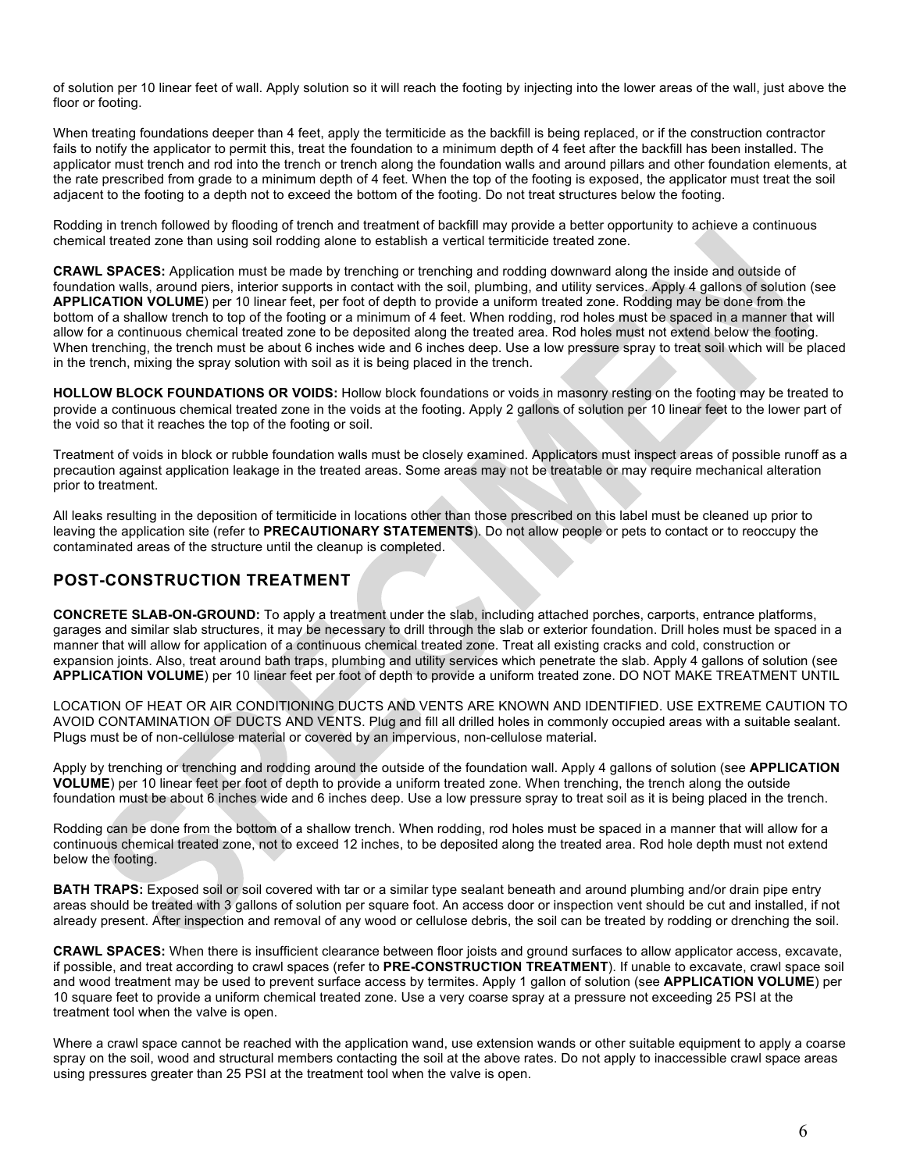of solution per 10 linear feet of wall. Apply solution so it will reach the footing by injecting into the lower areas of the wall, just above the floor or footing.

When treating foundations deeper than 4 feet, apply the termiticide as the backfill is being replaced, or if the construction contractor fails to notify the applicator to permit this, treat the foundation to a minimum depth of 4 feet after the backfill has been installed. The applicator must trench and rod into the trench or trench along the foundation walls and around pillars and other foundation elements, at the rate prescribed from grade to a minimum depth of 4 feet. When the top of the footing is exposed, the applicator must treat the soil adjacent to the footing to a depth not to exceed the bottom of the footing. Do not treat structures below the footing.

Rodding in trench followed by flooding of trench and treatment of backfill may provide a better opportunity to achieve a continuous chemical treated zone than using soil rodding alone to establish a vertical termiticide treated zone.

**CRAWL SPACES:** Application must be made by trenching or trenching and rodding downward along the inside and outside of foundation walls, around piers, interior supports in contact with the soil, plumbing, and utility services. Apply 4 gallons of solution (see **APPLICATION VOLUME**) per 10 linear feet, per foot of depth to provide a uniform treated zone. Rodding may be done from the bottom of a shallow trench to top of the footing or a minimum of 4 feet. When rodding, rod holes must be spaced in a manner that will allow for a continuous chemical treated zone to be deposited along the treated area. Rod holes must not extend below the footing. When trenching, the trench must be about 6 inches wide and 6 inches deep. Use a low pressure spray to treat soil which will be placed in the trench, mixing the spray solution with soil as it is being placed in the trench.

**HOLLOW BLOCK FOUNDATIONS OR VOIDS:** Hollow block foundations or voids in masonry resting on the footing may be treated to provide a continuous chemical treated zone in the voids at the footing. Apply 2 gallons of solution per 10 linear feet to the lower part of the void so that it reaches the top of the footing or soil.

Treatment of voids in block or rubble foundation walls must be closely examined. Applicators must inspect areas of possible runoff as a precaution against application leakage in the treated areas. Some areas may not be treatable or may require mechanical alteration prior to treatment.

All leaks resulting in the deposition of termiticide in locations other than those prescribed on this label must be cleaned up prior to leaving the application site (refer to **PRECAUTIONARY STATEMENTS**). Do not allow people or pets to contact or to reoccupy the contaminated areas of the structure until the cleanup is completed.

## **POST-CONSTRUCTION TREATMENT**

**CONCRETE SLAB-ON-GROUND:** To apply a treatment under the slab, including attached porches, carports, entrance platforms, garages and similar slab structures, it may be necessary to drill through the slab or exterior foundation. Drill holes must be spaced in a manner that will allow for application of a continuous chemical treated zone. Treat all existing cracks and cold, construction or expansion joints. Also, treat around bath traps, plumbing and utility services which penetrate the slab. Apply 4 gallons of solution (see **APPLICATION VOLUME**) per 10 linear feet per foot of depth to provide a uniform treated zone. DO NOT MAKE TREATMENT UNTIL

LOCATION OF HEAT OR AIR CONDITIONING DUCTS AND VENTS ARE KNOWN AND IDENTIFIED. USE EXTREME CAUTION TO AVOID CONTAMINATION OF DUCTS AND VENTS. Plug and fill all drilled holes in commonly occupied areas with a suitable sealant. Plugs must be of non-cellulose material or covered by an impervious, non-cellulose material.

Apply by trenching or trenching and rodding around the outside of the foundation wall. Apply 4 gallons of solution (see **APPLICATION VOLUME**) per 10 linear feet per foot of depth to provide a uniform treated zone. When trenching, the trench along the outside foundation must be about 6 inches wide and 6 inches deep. Use a low pressure spray to treat soil as it is being placed in the trench.

Rodding can be done from the bottom of a shallow trench. When rodding, rod holes must be spaced in a manner that will allow for a continuous chemical treated zone, not to exceed 12 inches, to be deposited along the treated area. Rod hole depth must not extend below the footing.

**BATH TRAPS:** Exposed soil or soil covered with tar or a similar type sealant beneath and around plumbing and/or drain pipe entry areas should be treated with 3 gallons of solution per square foot. An access door or inspection vent should be cut and installed, if not already present. After inspection and removal of any wood or cellulose debris, the soil can be treated by rodding or drenching the soil.

**CRAWL SPACES:** When there is insufficient clearance between floor joists and ground surfaces to allow applicator access, excavate, if possible, and treat according to crawl spaces (refer to **PRE-CONSTRUCTION TREATMENT**). If unable to excavate, crawl space soil and wood treatment may be used to prevent surface access by termites. Apply 1 gallon of solution (see **APPLICATION VOLUME**) per 10 square feet to provide a uniform chemical treated zone. Use a very coarse spray at a pressure not exceeding 25 PSI at the treatment tool when the valve is open.

Where a crawl space cannot be reached with the application wand, use extension wands or other suitable equipment to apply a coarse spray on the soil, wood and structural members contacting the soil at the above rates. Do not apply to inaccessible crawl space areas using pressures greater than 25 PSI at the treatment tool when the valve is open.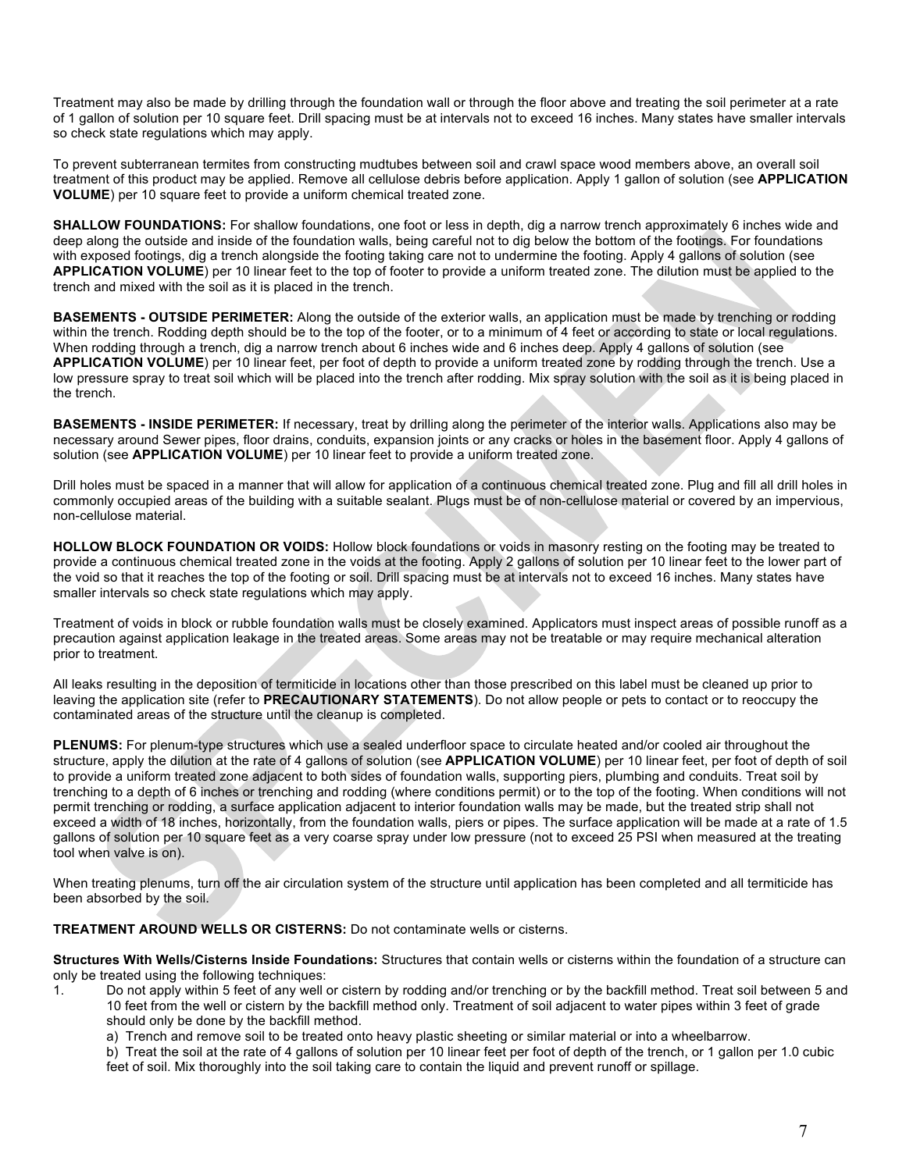Treatment may also be made by drilling through the foundation wall or through the floor above and treating the soil perimeter at a rate of 1 gallon of solution per 10 square feet. Drill spacing must be at intervals not to exceed 16 inches. Many states have smaller intervals so check state regulations which may apply.

To prevent subterranean termites from constructing mudtubes between soil and crawl space wood members above, an overall soil treatment of this product may be applied. Remove all cellulose debris before application. Apply 1 gallon of solution (see **APPLICATION VOLUME**) per 10 square feet to provide a uniform chemical treated zone.

**SHALLOW FOUNDATIONS:** For shallow foundations, one foot or less in depth, dig a narrow trench approximately 6 inches wide and deep along the outside and inside of the foundation walls, being careful not to dig below the bottom of the footings. For foundations with exposed footings, dig a trench alongside the footing taking care not to undermine the footing. Apply 4 gallons of solution (see **APPLICATION VOLUME**) per 10 linear feet to the top of footer to provide a uniform treated zone. The dilution must be applied to the trench and mixed with the soil as it is placed in the trench.

**BASEMENTS - OUTSIDE PERIMETER:** Along the outside of the exterior walls, an application must be made by trenching or rodding within the trench. Rodding depth should be to the top of the footer, or to a minimum of 4 feet or according to state or local regulations. When rodding through a trench, dig a narrow trench about 6 inches wide and 6 inches deep. Apply 4 gallons of solution (see **APPLICATION VOLUME**) per 10 linear feet, per foot of depth to provide a uniform treated zone by rodding through the trench. Use a low pressure spray to treat soil which will be placed into the trench after rodding. Mix spray solution with the soil as it is being placed in the trench.

**BASEMENTS - INSIDE PERIMETER:** If necessary, treat by drilling along the perimeter of the interior walls. Applications also may be necessary around Sewer pipes, floor drains, conduits, expansion joints or any cracks or holes in the basement floor. Apply 4 gallons of solution (see **APPLICATION VOLUME**) per 10 linear feet to provide a uniform treated zone.

Drill holes must be spaced in a manner that will allow for application of a continuous chemical treated zone. Plug and fill all drill holes in commonly occupied areas of the building with a suitable sealant. Plugs must be of non-cellulose material or covered by an impervious, non-cellulose material.

**HOLLOW BLOCK FOUNDATION OR VOIDS:** Hollow block foundations or voids in masonry resting on the footing may be treated to provide a continuous chemical treated zone in the voids at the footing. Apply 2 gallons of solution per 10 linear feet to the lower part of the void so that it reaches the top of the footing or soil. Drill spacing must be at intervals not to exceed 16 inches. Many states have smaller intervals so check state regulations which may apply.

Treatment of voids in block or rubble foundation walls must be closely examined. Applicators must inspect areas of possible runoff as a precaution against application leakage in the treated areas. Some areas may not be treatable or may require mechanical alteration prior to treatment.

All leaks resulting in the deposition of termiticide in locations other than those prescribed on this label must be cleaned up prior to leaving the application site (refer to **PRECAUTIONARY STATEMENTS**). Do not allow people or pets to contact or to reoccupy the contaminated areas of the structure until the cleanup is completed.

**PLENUMS:** For plenum-type structures which use a sealed underfloor space to circulate heated and/or cooled air throughout the structure, apply the dilution at the rate of 4 gallons of solution (see **APPLICATION VOLUME**) per 10 linear feet, per foot of depth of soil to provide a uniform treated zone adjacent to both sides of foundation walls, supporting piers, plumbing and conduits. Treat soil by trenching to a depth of 6 inches or trenching and rodding (where conditions permit) or to the top of the footing. When conditions will not permit trenching or rodding, a surface application adjacent to interior foundation walls may be made, but the treated strip shall not exceed a width of 18 inches, horizontally, from the foundation walls, piers or pipes. The surface application will be made at a rate of 1.5 gallons of solution per 10 square feet as a very coarse spray under low pressure (not to exceed 25 PSI when measured at the treating tool when valve is on).

When treating plenums, turn off the air circulation system of the structure until application has been completed and all termiticide has been absorbed by the soil.

**TREATMENT AROUND WELLS OR CISTERNS:** Do not contaminate wells or cisterns.

**Structures With Wells/Cisterns Inside Foundations:** Structures that contain wells or cisterns within the foundation of a structure can only be treated using the following techniques:

- 1. Do not apply within 5 feet of any well or cistern by rodding and/or trenching or by the backfill method. Treat soil between 5 and 10 feet from the well or cistern by the backfill method only. Treatment of soil adjacent to water pipes within 3 feet of grade should only be done by the backfill method.
	- a) Trench and remove soil to be treated onto heavy plastic sheeting or similar material or into a wheelbarrow.

b) Treat the soil at the rate of 4 gallons of solution per 10 linear feet per foot of depth of the trench, or 1 gallon per 1.0 cubic feet of soil. Mix thoroughly into the soil taking care to contain the liquid and prevent runoff or spillage.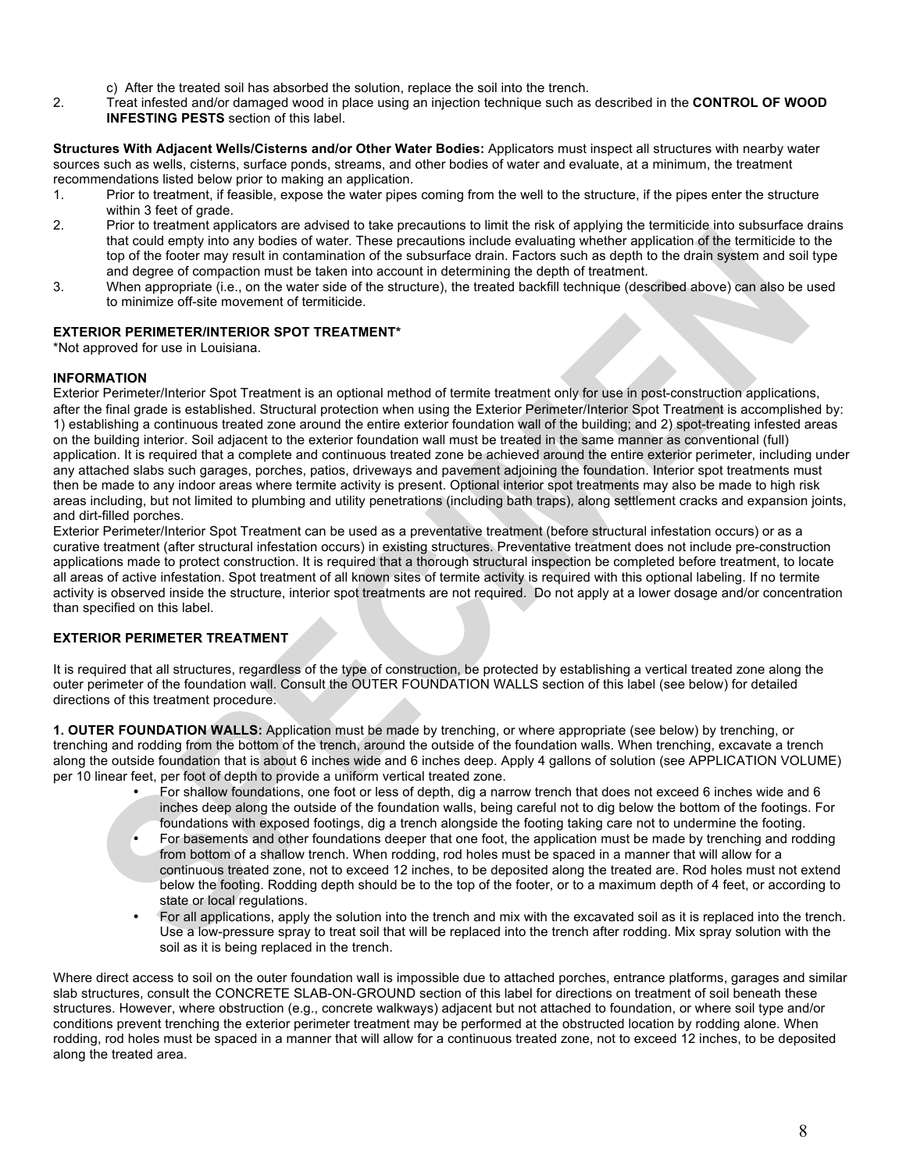- c) After the treated soil has absorbed the solution, replace the soil into the trench.
- 2. Treat infested and/or damaged wood in place using an injection technique such as described in the **CONTROL OF WOOD INFESTING PESTS** section of this label.

**Structures With Adjacent Wells/Cisterns and/or Other Water Bodies:** Applicators must inspect all structures with nearby water sources such as wells, cisterns, surface ponds, streams, and other bodies of water and evaluate, at a minimum, the treatment recommendations listed below prior to making an application.

- 1. Prior to treatment, if feasible, expose the water pipes coming from the well to the structure, if the pipes enter the structure within 3 feet of grade.
- 2. Prior to treatment applicators are advised to take precautions to limit the risk of applying the termiticide into subsurface drains that could empty into any bodies of water. These precautions include evaluating whether application of the termiticide to the top of the footer may result in contamination of the subsurface drain. Factors such as depth to the drain system and soil type and degree of compaction must be taken into account in determining the depth of treatment.
- 3. When appropriate (i.e., on the water side of the structure), the treated backfill technique (described above) can also be used to minimize off-site movement of termiticide.

#### **EXTERIOR PERIMETER/INTERIOR SPOT TREATMENT\***

\*Not approved for use in Louisiana.

## **INFORMATION**

Exterior Perimeter/Interior Spot Treatment is an optional method of termite treatment only for use in post-construction applications, after the final grade is established. Structural protection when using the Exterior Perimeter/Interior Spot Treatment is accomplished by: 1) establishing a continuous treated zone around the entire exterior foundation wall of the building; and 2) spot-treating infested areas on the building interior. Soil adjacent to the exterior foundation wall must be treated in the same manner as conventional (full) application. It is required that a complete and continuous treated zone be achieved around the entire exterior perimeter, including under any attached slabs such garages, porches, patios, driveways and pavement adjoining the foundation. Interior spot treatments must then be made to any indoor areas where termite activity is present. Optional interior spot treatments may also be made to high risk areas including, but not limited to plumbing and utility penetrations (including bath traps), along settlement cracks and expansion joints, and dirt-filled porches.

Exterior Perimeter/Interior Spot Treatment can be used as a preventative treatment (before structural infestation occurs) or as a curative treatment (after structural infestation occurs) in existing structures. Preventative treatment does not include pre-construction applications made to protect construction. It is required that a thorough structural inspection be completed before treatment, to locate all areas of active infestation. Spot treatment of all known sites of termite activity is required with this optional labeling. If no termite activity is observed inside the structure, interior spot treatments are not required. Do not apply at a lower dosage and/or concentration than specified on this label.

## **EXTERIOR PERIMETER TREATMENT**

It is required that all structures, regardless of the type of construction, be protected by establishing a vertical treated zone along the outer perimeter of the foundation wall. Consult the OUTER FOUNDATION WALLS section of this label (see below) for detailed directions of this treatment procedure.

**1. OUTER FOUNDATION WALLS:** Application must be made by trenching, or where appropriate (see below) by trenching, or trenching and rodding from the bottom of the trench, around the outside of the foundation walls. When trenching, excavate a trench along the outside foundation that is about 6 inches wide and 6 inches deep. Apply 4 gallons of solution (see APPLICATION VOLUME) per 10 linear feet, per foot of depth to provide a uniform vertical treated zone.

- For shallow foundations, one foot or less of depth, dig a narrow trench that does not exceed 6 inches wide and 6 inches deep along the outside of the foundation walls, being careful not to dig below the bottom of the footings. For foundations with exposed footings, dig a trench alongside the footing taking care not to undermine the footing.
- For basements and other foundations deeper that one foot, the application must be made by trenching and rodding from bottom of a shallow trench. When rodding, rod holes must be spaced in a manner that will allow for a continuous treated zone, not to exceed 12 inches, to be deposited along the treated are. Rod holes must not extend below the footing. Rodding depth should be to the top of the footer, or to a maximum depth of 4 feet, or according to state or local regulations.
- For all applications, apply the solution into the trench and mix with the excavated soil as it is replaced into the trench. Use a low-pressure spray to treat soil that will be replaced into the trench after rodding. Mix spray solution with the soil as it is being replaced in the trench.

Where direct access to soil on the outer foundation wall is impossible due to attached porches, entrance platforms, garages and similar slab structures, consult the CONCRETE SLAB-ON-GROUND section of this label for directions on treatment of soil beneath these structures. However, where obstruction (e.g., concrete walkways) adjacent but not attached to foundation, or where soil type and/or conditions prevent trenching the exterior perimeter treatment may be performed at the obstructed location by rodding alone. When rodding, rod holes must be spaced in a manner that will allow for a continuous treated zone, not to exceed 12 inches, to be deposited along the treated area.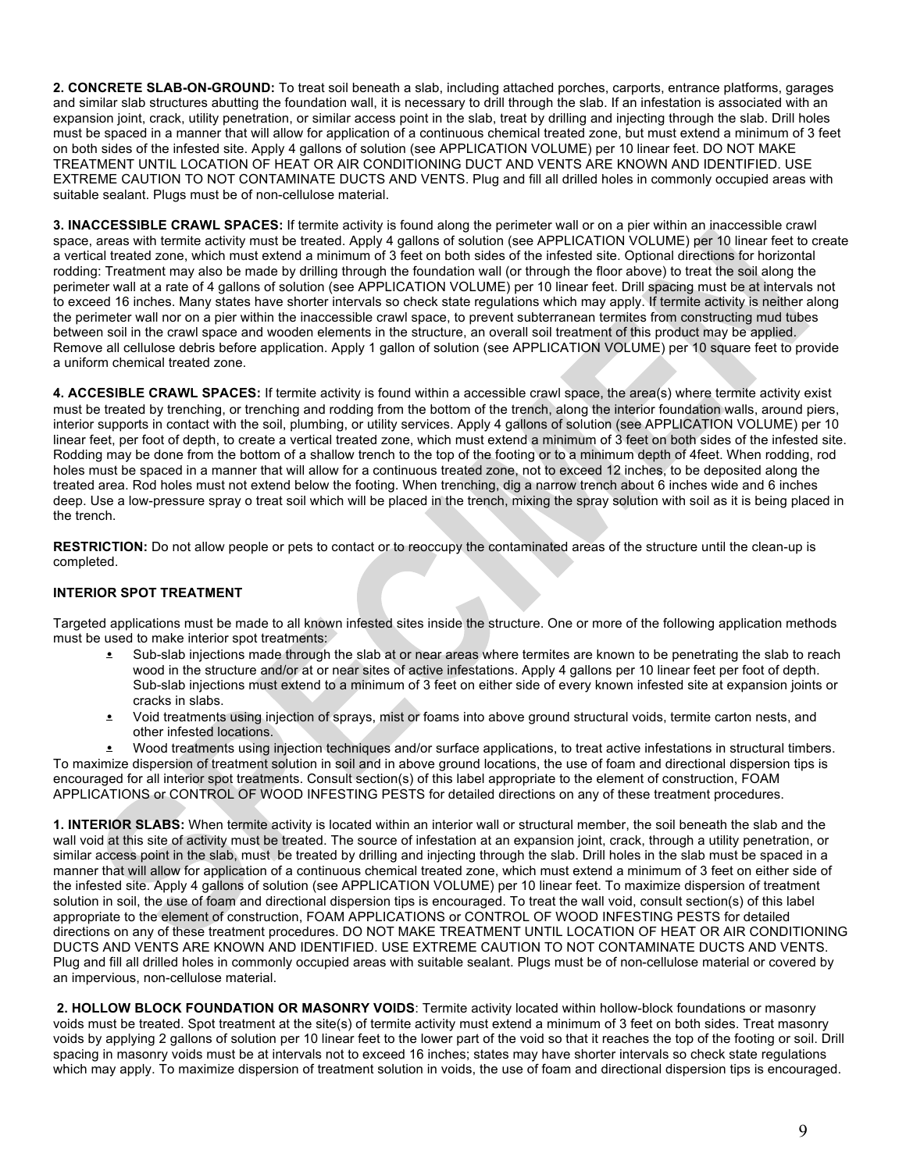**2. CONCRETE SLAB-ON-GROUND:** To treat soil beneath a slab, including attached porches, carports, entrance platforms, garages and similar slab structures abutting the foundation wall, it is necessary to drill through the slab. If an infestation is associated with an expansion joint, crack, utility penetration, or similar access point in the slab, treat by drilling and injecting through the slab. Drill holes must be spaced in a manner that will allow for application of a continuous chemical treated zone, but must extend a minimum of 3 feet on both sides of the infested site. Apply 4 gallons of solution (see APPLICATION VOLUME) per 10 linear feet. DO NOT MAKE TREATMENT UNTIL LOCATION OF HEAT OR AIR CONDITIONING DUCT AND VENTS ARE KNOWN AND IDENTIFIED. USE EXTREME CAUTION TO NOT CONTAMINATE DUCTS AND VENTS. Plug and fill all drilled holes in commonly occupied areas with suitable sealant. Plugs must be of non-cellulose material.

**3. INACCESSIBLE CRAWL SPACES:** If termite activity is found along the perimeter wall or on a pier within an inaccessible crawl space, areas with termite activity must be treated. Apply 4 gallons of solution (see APPLICATION VOLUME) per 10 linear feet to create a vertical treated zone, which must extend a minimum of 3 feet on both sides of the infested site. Optional directions for horizontal rodding: Treatment may also be made by drilling through the foundation wall (or through the floor above) to treat the soil along the perimeter wall at a rate of 4 gallons of solution (see APPLICATION VOLUME) per 10 linear feet. Drill spacing must be at intervals not to exceed 16 inches. Many states have shorter intervals so check state regulations which may apply. If termite activity is neither along the perimeter wall nor on a pier within the inaccessible crawl space, to prevent subterranean termites from constructing mud tubes between soil in the crawl space and wooden elements in the structure, an overall soil treatment of this product may be applied. Remove all cellulose debris before application. Apply 1 gallon of solution (see APPLICATION VOLUME) per 10 square feet to provide a uniform chemical treated zone.

**4. ACCESIBLE CRAWL SPACES:** If termite activity is found within a accessible crawl space, the area(s) where termite activity exist must be treated by trenching, or trenching and rodding from the bottom of the trench, along the interior foundation walls, around piers, interior supports in contact with the soil, plumbing, or utility services. Apply 4 gallons of solution (see APPLICATION VOLUME) per 10 linear feet, per foot of depth, to create a vertical treated zone, which must extend a minimum of 3 feet on both sides of the infested site. Rodding may be done from the bottom of a shallow trench to the top of the footing or to a minimum depth of 4feet. When rodding, rod holes must be spaced in a manner that will allow for a continuous treated zone, not to exceed 12 inches, to be deposited along the treated area. Rod holes must not extend below the footing. When trenching, dig a narrow trench about 6 inches wide and 6 inches deep. Use a low-pressure spray o treat soil which will be placed in the trench, mixing the spray solution with soil as it is being placed in the trench.

**RESTRICTION:** Do not allow people or pets to contact or to reoccupy the contaminated areas of the structure until the clean-up is completed.

## **INTERIOR SPOT TREATMENT**

Targeted applications must be made to all known infested sites inside the structure. One or more of the following application methods must be used to make interior spot treatments:

- Sub-slab injections made through the slab at or near areas where termites are known to be penetrating the slab to reach wood in the structure and/or at or near sites of active infestations. Apply 4 gallons per 10 linear feet per foot of depth. Sub-slab injections must extend to a minimum of 3 feet on either side of every known infested site at expansion joints or cracks in slabs.
- Void treatments using injection of sprays, mist or foams into above ground structural voids, termite carton nests, and other infested locations.

• Wood treatments using injection techniques and/or surface applications, to treat active infestations in structural timbers. To maximize dispersion of treatment solution in soil and in above ground locations, the use of foam and directional dispersion tips is encouraged for all interior spot treatments. Consult section(s) of this label appropriate to the element of construction, FOAM APPLICATIONS or CONTROL OF WOOD INFESTING PESTS for detailed directions on any of these treatment procedures.

**1. INTERIOR SLABS:** When termite activity is located within an interior wall or structural member, the soil beneath the slab and the wall void at this site of activity must be treated. The source of infestation at an expansion joint, crack, through a utility penetration, or similar access point in the slab, must be treated by drilling and injecting through the slab. Drill holes in the slab must be spaced in a manner that will allow for application of a continuous chemical treated zone, which must extend a minimum of 3 feet on either side of the infested site. Apply 4 gallons of solution (see APPLICATION VOLUME) per 10 linear feet. To maximize dispersion of treatment solution in soil, the use of foam and directional dispersion tips is encouraged. To treat the wall void, consult section(s) of this label appropriate to the element of construction, FOAM APPLICATIONS or CONTROL OF WOOD INFESTING PESTS for detailed directions on any of these treatment procedures. DO NOT MAKE TREATMENT UNTIL LOCATION OF HEAT OR AIR CONDITIONING DUCTS AND VENTS ARE KNOWN AND IDENTIFIED. USE EXTREME CAUTION TO NOT CONTAMINATE DUCTS AND VENTS. Plug and fill all drilled holes in commonly occupied areas with suitable sealant. Plugs must be of non-cellulose material or covered by an impervious, non-cellulose material.

**2. HOLLOW BLOCK FOUNDATION OR MASONRY VOIDS**: Termite activity located within hollow-block foundations or masonry voids must be treated. Spot treatment at the site(s) of termite activity must extend a minimum of 3 feet on both sides. Treat masonry voids by applying 2 gallons of solution per 10 linear feet to the lower part of the void so that it reaches the top of the footing or soil. Drill spacing in masonry voids must be at intervals not to exceed 16 inches; states may have shorter intervals so check state regulations which may apply. To maximize dispersion of treatment solution in voids, the use of foam and directional dispersion tips is encouraged.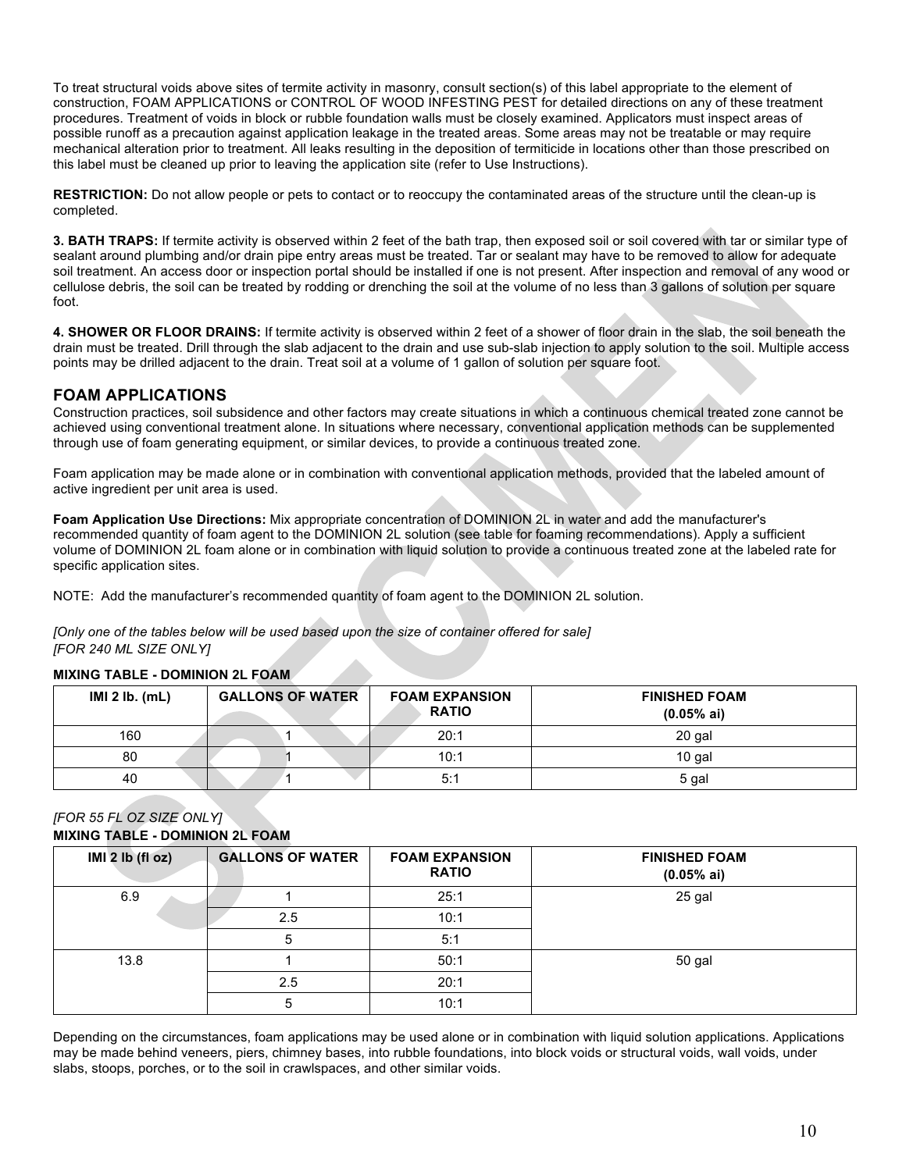To treat structural voids above sites of termite activity in masonry, consult section(s) of this label appropriate to the element of construction, FOAM APPLICATIONS or CONTROL OF WOOD INFESTING PEST for detailed directions on any of these treatment procedures. Treatment of voids in block or rubble foundation walls must be closely examined. Applicators must inspect areas of possible runoff as a precaution against application leakage in the treated areas. Some areas may not be treatable or may require mechanical alteration prior to treatment. All leaks resulting in the deposition of termiticide in locations other than those prescribed on this label must be cleaned up prior to leaving the application site (refer to Use Instructions).

**RESTRICTION:** Do not allow people or pets to contact or to reoccupy the contaminated areas of the structure until the clean-up is completed.

**3. BATH TRAPS:** If termite activity is observed within 2 feet of the bath trap, then exposed soil or soil covered with tar or similar type of sealant around plumbing and/or drain pipe entry areas must be treated. Tar or sealant may have to be removed to allow for adequate soil treatment. An access door or inspection portal should be installed if one is not present. After inspection and removal of any wood or cellulose debris, the soil can be treated by rodding or drenching the soil at the volume of no less than 3 gallons of solution per square foot.

**4. SHOWER OR FLOOR DRAINS:** If termite activity is observed within 2 feet of a shower of floor drain in the slab, the soil beneath the drain must be treated. Drill through the slab adjacent to the drain and use sub-slab injection to apply solution to the soil. Multiple access points may be drilled adjacent to the drain. Treat soil at a volume of 1 gallon of solution per square foot.

## **FOAM APPLICATIONS**

Construction practices, soil subsidence and other factors may create situations in which a continuous chemical treated zone cannot be achieved using conventional treatment alone. In situations where necessary, conventional application methods can be supplemented through use of foam generating equipment, or similar devices, to provide a continuous treated zone.

Foam application may be made alone or in combination with conventional application methods, provided that the labeled amount of active ingredient per unit area is used.

**Foam Application Use Directions:** Mix appropriate concentration of DOMINION 2L in water and add the manufacturer's recommended quantity of foam agent to the DOMINION 2L solution (see table for foaming recommendations). Apply a sufficient volume of DOMINION 2L foam alone or in combination with liquid solution to provide a continuous treated zone at the labeled rate for specific application sites.

NOTE: Add the manufacturer's recommended quantity of foam agent to the DOMINION 2L solution.

*[Only one of the tables below will be used based upon the size of container offered for sale] [FOR 240 ML SIZE ONLY]*

## **MIXING TABLE - DOMINION 2L FOAM**

| IMI 2 Ib. (mL) | <b>GALLONS OF WATER</b> | <b>FOAM EXPANSION</b><br><b>RATIO</b> | <b>FINISHED FOAM</b><br>$(0.05%$ ai) |
|----------------|-------------------------|---------------------------------------|--------------------------------------|
| 160            |                         | 20:1                                  | 20 gal                               |
| 80             |                         | 10:1                                  | 10 gal                               |
| 40             |                         | 5:1                                   | 5 gal                                |

## *[FOR 55 FL OZ SIZE ONLY]*

#### **MIXING TABLE - DOMINION 2L FOAM**

| IMI 2 Ib (fl oz) | <b>GALLONS OF WATER</b> | <b>FOAM EXPANSION</b><br><b>RATIO</b> | <b>FINISHED FOAM</b><br>(0.05% a) |
|------------------|-------------------------|---------------------------------------|-----------------------------------|
| 6.9              |                         | 25:1                                  | 25 gal                            |
|                  | 2.5                     | 10:1                                  |                                   |
|                  |                         | 5:1                                   |                                   |
| 13.8             |                         | 50:1                                  | 50 gal                            |
|                  | 2.5                     | 20:1                                  |                                   |
|                  | 5                       | 10:1                                  |                                   |

Depending on the circumstances, foam applications may be used alone or in combination with liquid solution applications. Applications may be made behind veneers, piers, chimney bases, into rubble foundations, into block voids or structural voids, wall voids, under slabs, stoops, porches, or to the soil in crawlspaces, and other similar voids.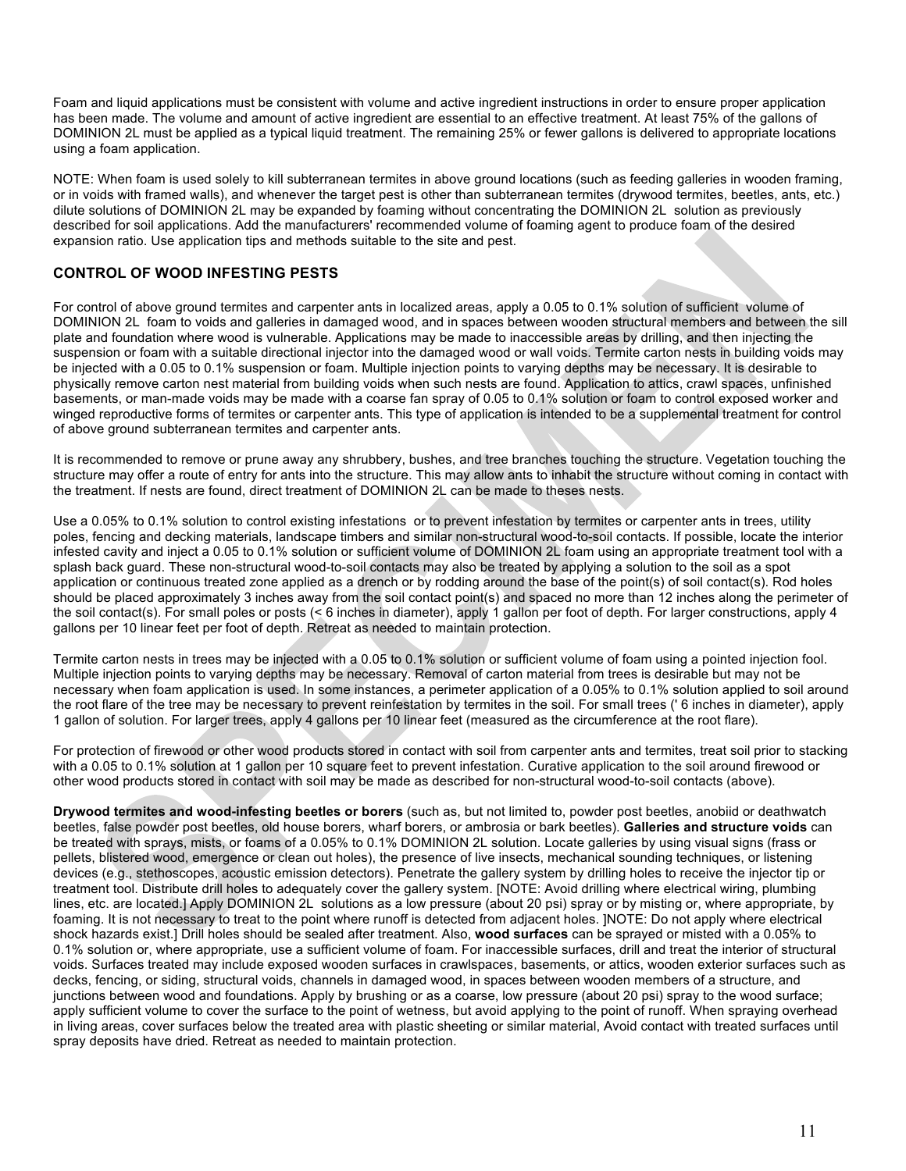Foam and liquid applications must be consistent with volume and active ingredient instructions in order to ensure proper application has been made. The volume and amount of active ingredient are essential to an effective treatment. At least 75% of the gallons of DOMINION 2L must be applied as a typical liquid treatment. The remaining 25% or fewer gallons is delivered to appropriate locations using a foam application.

NOTE: When foam is used solely to kill subterranean termites in above ground locations (such as feeding galleries in wooden framing, or in voids with framed walls), and whenever the target pest is other than subterranean termites (drywood termites, beetles, ants, etc.) dilute solutions of DOMINION 2L may be expanded by foaming without concentrating the DOMINION 2L solution as previously described for soil applications. Add the manufacturers' recommended volume of foaming agent to produce foam of the desired expansion ratio. Use application tips and methods suitable to the site and pest.

## **CONTROL OF WOOD INFESTING PESTS**

For control of above ground termites and carpenter ants in localized areas, apply a 0.05 to 0.1% solution of sufficient volume of DOMINION 2L foam to voids and galleries in damaged wood, and in spaces between wooden structural members and between the sill plate and foundation where wood is vulnerable. Applications may be made to inaccessible areas by drilling, and then injecting the suspension or foam with a suitable directional injector into the damaged wood or wall voids. Termite carton nests in building voids may be injected with a 0.05 to 0.1% suspension or foam. Multiple injection points to varying depths may be necessary. It is desirable to physically remove carton nest material from building voids when such nests are found. Application to attics, crawl spaces, unfinished basements, or man-made voids may be made with a coarse fan spray of 0.05 to 0.1% solution or foam to control exposed worker and winged reproductive forms of termites or carpenter ants. This type of application is intended to be a supplemental treatment for control of above ground subterranean termites and carpenter ants.

It is recommended to remove or prune away any shrubbery, bushes, and tree branches touching the structure. Vegetation touching the structure may offer a route of entry for ants into the structure. This may allow ants to inhabit the structure without coming in contact with the treatment. If nests are found, direct treatment of DOMINION 2L can be made to theses nests.

Use a 0.05% to 0.1% solution to control existing infestations or to prevent infestation by termites or carpenter ants in trees, utility poles, fencing and decking materials, landscape timbers and similar non-structural wood-to-soil contacts. If possible, locate the interior infested cavity and inject a 0.05 to 0.1% solution or sufficient volume of DOMINION 2L foam using an appropriate treatment tool with a splash back guard. These non-structural wood-to-soil contacts may also be treated by applying a solution to the soil as a spot application or continuous treated zone applied as a drench or by rodding around the base of the point(s) of soil contact(s). Rod holes should be placed approximately 3 inches away from the soil contact point(s) and spaced no more than 12 inches along the perimeter of the soil contact(s). For small poles or posts (< 6 inches in diameter), apply 1 gallon per foot of depth. For larger constructions, apply 4 gallons per 10 linear feet per foot of depth. Retreat as needed to maintain protection.

Termite carton nests in trees may be injected with a 0.05 to 0.1% solution or sufficient volume of foam using a pointed injection fool. Multiple injection points to varying depths may be necessary. Removal of carton material from trees is desirable but may not be necessary when foam application is used. In some instances, a perimeter application of a 0.05% to 0.1% solution applied to soil around the root flare of the tree may be necessary to prevent reinfestation by termites in the soil. For small trees (' 6 inches in diameter), apply 1 gallon of solution. For larger trees, apply 4 gallons per 10 linear feet (measured as the circumference at the root flare).

For protection of firewood or other wood products stored in contact with soil from carpenter ants and termites, treat soil prior to stacking with a 0.05 to 0.1% solution at 1 gallon per 10 square feet to prevent infestation. Curative application to the soil around firewood or other wood products stored in contact with soil may be made as described for non-structural wood-to-soil contacts (above).

**Drywood termites and wood-infesting beetles or borers** (such as, but not limited to, powder post beetles, anobiid or deathwatch beetles, false powder post beetles, old house borers, wharf borers, or ambrosia or bark beetles). **Galleries and structure voids** can be treated with sprays, mists, or foams of a 0.05% to 0.1% DOMINION 2L solution. Locate galleries by using visual signs (frass or pellets, blistered wood, emergence or clean out holes), the presence of live insects, mechanical sounding techniques, or listening devices (e.g., stethoscopes, acoustic emission detectors). Penetrate the gallery system by drilling holes to receive the injector tip or treatment tool. Distribute drill holes to adequately cover the gallery system. [NOTE: Avoid drilling where electrical wiring, plumbing lines, etc. are located.] Apply DOMINION 2L solutions as a low pressure (about 20 psi) spray or by misting or, where appropriate, by foaming. It is not necessary to treat to the point where runoff is detected from adjacent holes. ]NOTE: Do not apply where electrical shock hazards exist.] Drill holes should be sealed after treatment. Also, **wood surfaces** can be sprayed or misted with a 0.05% to 0.1% solution or, where appropriate, use a sufficient volume of foam. For inaccessible surfaces, drill and treat the interior of structural voids. Surfaces treated may include exposed wooden surfaces in crawlspaces, basements, or attics, wooden exterior surfaces such as decks, fencing, or siding, structural voids, channels in damaged wood, in spaces between wooden members of a structure, and junctions between wood and foundations. Apply by brushing or as a coarse, low pressure (about 20 psi) spray to the wood surface; apply sufficient volume to cover the surface to the point of wetness, but avoid applying to the point of runoff. When spraying overhead in living areas, cover surfaces below the treated area with plastic sheeting or similar material, Avoid contact with treated surfaces until spray deposits have dried. Retreat as needed to maintain protection.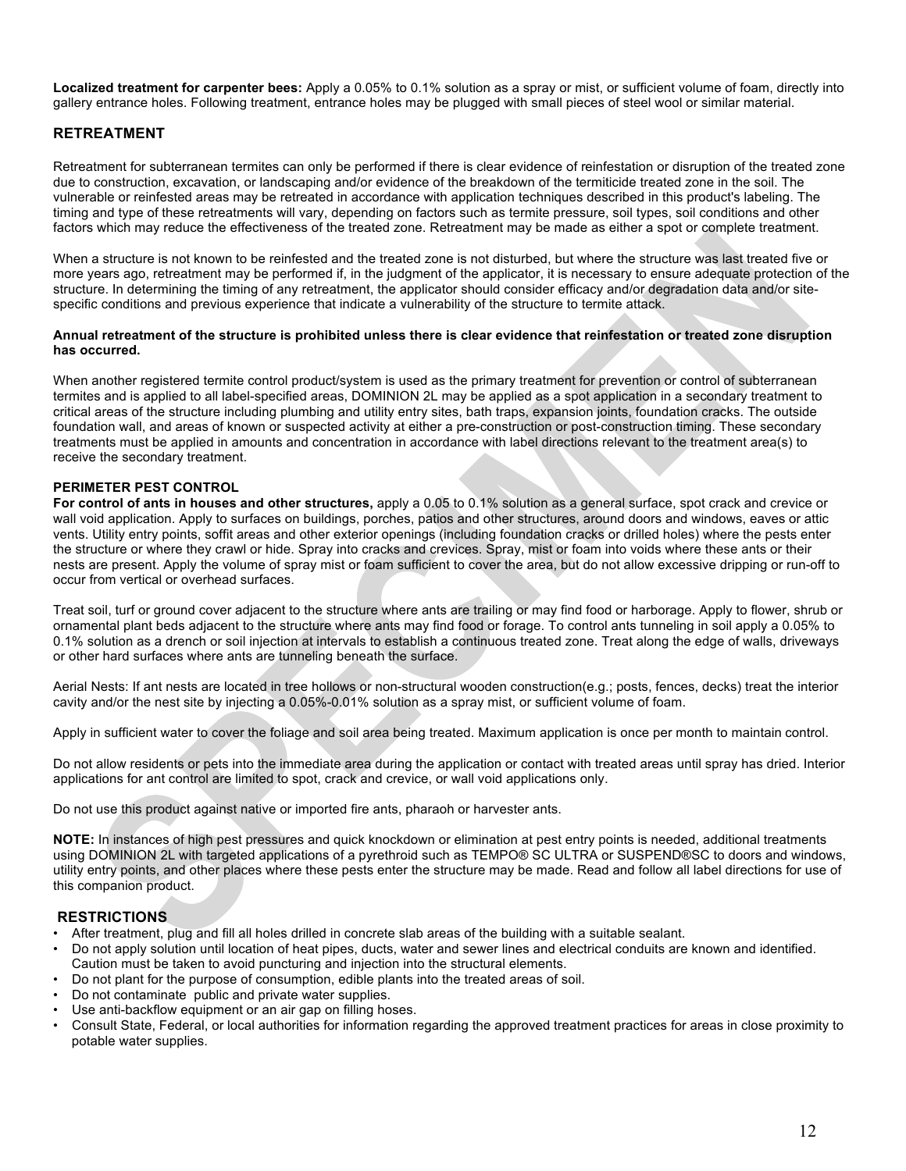**Localized treatment for carpenter bees:** Apply a 0.05% to 0.1% solution as a spray or mist, or sufficient volume of foam, directly into gallery entrance holes. Following treatment, entrance holes may be plugged with small pieces of steel wool or similar material.

## **RETREATMENT**

Retreatment for subterranean termites can only be performed if there is clear evidence of reinfestation or disruption of the treated zone due to construction, excavation, or landscaping and/or evidence of the breakdown of the termiticide treated zone in the soil. The vulnerable or reinfested areas may be retreated in accordance with application techniques described in this product's labeling. The timing and type of these retreatments will vary, depending on factors such as termite pressure, soil types, soil conditions and other factors which may reduce the effectiveness of the treated zone. Retreatment may be made as either a spot or complete treatment.

When a structure is not known to be reinfested and the treated zone is not disturbed, but where the structure was last treated five or more years ago, retreatment may be performed if, in the judgment of the applicator, it is necessary to ensure adequate protection of the structure. In determining the timing of any retreatment, the applicator should consider efficacy and/or degradation data and/or sitespecific conditions and previous experience that indicate a vulnerability of the structure to termite attack.

#### **Annual retreatment of the structure is prohibited unless there is clear evidence that reinfestation or treated zone disruption has occurred.**

When another registered termite control product/system is used as the primary treatment for prevention or control of subterranean termites and is applied to all label-specified areas, DOMINION 2L may be applied as a spot application in a secondary treatment to critical areas of the structure including plumbing and utility entry sites, bath traps, expansion joints, foundation cracks. The outside foundation wall, and areas of known or suspected activity at either a pre-construction or post-construction timing. These secondary treatments must be applied in amounts and concentration in accordance with label directions relevant to the treatment area(s) to receive the secondary treatment.

#### **PERIMETER PEST CONTROL**

**For control of ants in houses and other structures,** apply a 0.05 to 0.1% solution as a general surface, spot crack and crevice or wall void application. Apply to surfaces on buildings, porches, patios and other structures, around doors and windows, eaves or attic vents. Utility entry points, soffit areas and other exterior openings (including foundation cracks or drilled holes) where the pests enter the structure or where they crawl or hide. Spray into cracks and crevices. Spray, mist or foam into voids where these ants or their nests are present. Apply the volume of spray mist or foam sufficient to cover the area, but do not allow excessive dripping or run-off to occur from vertical or overhead surfaces.

Treat soil, turf or ground cover adjacent to the structure where ants are trailing or may find food or harborage. Apply to flower, shrub or ornamental plant beds adjacent to the structure where ants may find food or forage. To control ants tunneling in soil apply a 0.05% to 0.1% solution as a drench or soil injection at intervals to establish a continuous treated zone. Treat along the edge of walls, driveways or other hard surfaces where ants are tunneling beneath the surface.

Aerial Nests: If ant nests are located in tree hollows or non-structural wooden construction(e.g.; posts, fences, decks) treat the interior cavity and/or the nest site by injecting a 0.05%-0.01% solution as a spray mist, or sufficient volume of foam.

Apply in sufficient water to cover the foliage and soil area being treated. Maximum application is once per month to maintain control.

Do not allow residents or pets into the immediate area during the application or contact with treated areas until spray has dried. Interior applications for ant control are limited to spot, crack and crevice, or wall void applications only.

Do not use this product against native or imported fire ants, pharaoh or harvester ants.

**NOTE:** In instances of high pest pressures and quick knockdown or elimination at pest entry points is needed, additional treatments using DOMINION 2L with targeted applications of a pyrethroid such as TEMPO® SC ULTRA or SUSPEND®SC to doors and windows, utility entry points, and other places where these pests enter the structure may be made. Read and follow all label directions for use of this companion product.

#### **RESTRICTIONS**

- After treatment, plug and fill all holes drilled in concrete slab areas of the building with a suitable sealant.
- Do not apply solution until location of heat pipes, ducts, water and sewer lines and electrical conduits are known and identified. Caution must be taken to avoid puncturing and injection into the structural elements.
- Do not plant for the purpose of consumption, edible plants into the treated areas of soil.
- Do not contaminate public and private water supplies.
- Use anti-backflow equipment or an air gap on filling hoses.
- Consult State, Federal, or local authorities for information regarding the approved treatment practices for areas in close proximity to potable water supplies.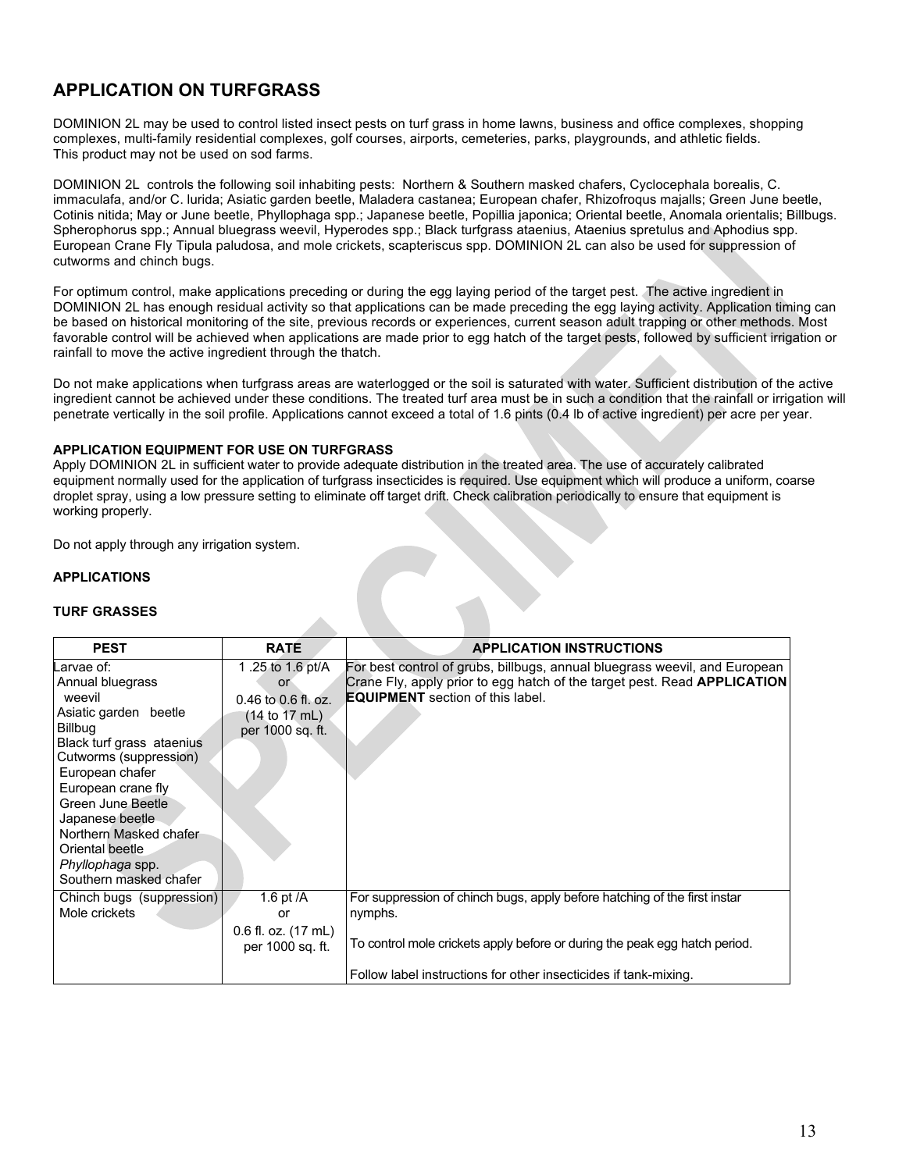## **APPLICATION ON TURFGRASS**

DOMINION 2L may be used to control listed insect pests on turf grass in home lawns, business and office complexes, shopping complexes, multi-family residential complexes, golf courses, airports, cemeteries, parks, playgrounds, and athletic fields. This product may not be used on sod farms.

DOMINION 2L controls the following soil inhabiting pests: Northern & Southern masked chafers, Cyclocephala borealis, C. immaculafa, and/or C. lurida; Asiatic garden beetle, Maladera castanea; European chafer, Rhizofroqus majalls; Green June beetle, Cotinis nitida; May or June beetle, Phyllophaga spp.; Japanese beetle, Popillia japonica; Oriental beetle, Anomala orientalis; Billbugs. Spherophorus spp.; Annual bluegrass weevil, Hyperodes spp.; Black turfgrass ataenius, Ataenius spretulus and Aphodius spp. European Crane Fly Tipula paludosa, and mole crickets, scapteriscus spp. DOMINION 2L can also be used for suppression of cutworms and chinch bugs.

For optimum control, make applications preceding or during the egg laying period of the target pest. The active ingredient in DOMINION 2L has enough residual activity so that applications can be made preceding the egg laying activity. Application timing can be based on historical monitoring of the site, previous records or experiences, current season adult trapping or other methods. Most favorable control will be achieved when applications are made prior to egg hatch of the target pests, followed by sufficient irrigation or rainfall to move the active ingredient through the thatch.

Do not make applications when turfgrass areas are waterlogged or the soil is saturated with water. Sufficient distribution of the active ingredient cannot be achieved under these conditions. The treated turf area must be in such a condition that the rainfall or irrigation will penetrate vertically in the soil profile. Applications cannot exceed a total of 1.6 pints (0.4 lb of active ingredient) per acre per year.

#### **APPLICATION EQUIPMENT FOR USE ON TURFGRASS**

Apply DOMINION 2L in sufficient water to provide adequate distribution in the treated area. The use of accurately calibrated equipment normally used for the application of turfgrass insecticides is required. Use equipment which will produce a uniform, coarse droplet spray, using a low pressure setting to eliminate off target drift. Check calibration periodically to ensure that equipment is working properly.

Do not apply through any irrigation system.

## **APPLICATIONS**

#### **TURF GRASSES**

| <b>PEST</b>                                                                                                                                                                                                                                                                                                     | <b>RATE</b>                                                                                   | <b>APPLICATION INSTRUCTIONS</b>                                                                                                                                                                                                        |
|-----------------------------------------------------------------------------------------------------------------------------------------------------------------------------------------------------------------------------------------------------------------------------------------------------------------|-----------------------------------------------------------------------------------------------|----------------------------------------------------------------------------------------------------------------------------------------------------------------------------------------------------------------------------------------|
| Larvae of:<br>Annual bluegrass<br>weevil<br>Asiatic garden beetle<br>Billbug<br>Black turf grass ataenius<br>Cutworms (suppression)<br>European chafer<br>European crane fly<br>Green June Beetle<br>Japanese beetle<br>Northern Masked chafer<br>Oriental beetle<br>Phyllophaga spp.<br>Southern masked chafer | 1.25 to 1.6 pt/A<br><b>or</b><br>$0.46$ to $0.6$ fl. oz.<br>(14 to 17 mL)<br>per 1000 sq. ft. | For best control of grubs, billbugs, annual bluegrass weevil, and European<br>Crane Fly, apply prior to egg hatch of the target pest. Read <b>APPLICATION</b><br><b>EQUIPMENT</b> section of this label.                               |
| Chinch bugs (suppression)<br>Mole crickets                                                                                                                                                                                                                                                                      | 1.6 pt $/A$<br>or<br>$0.6$ fl. oz. $(17 \text{ mL})$<br>per 1000 sq. ft.                      | For suppression of chinch bugs, apply before hatching of the first instar<br>nymphs.<br>To control mole crickets apply before or during the peak egg hatch period.<br>Follow label instructions for other insecticides if tank-mixing. |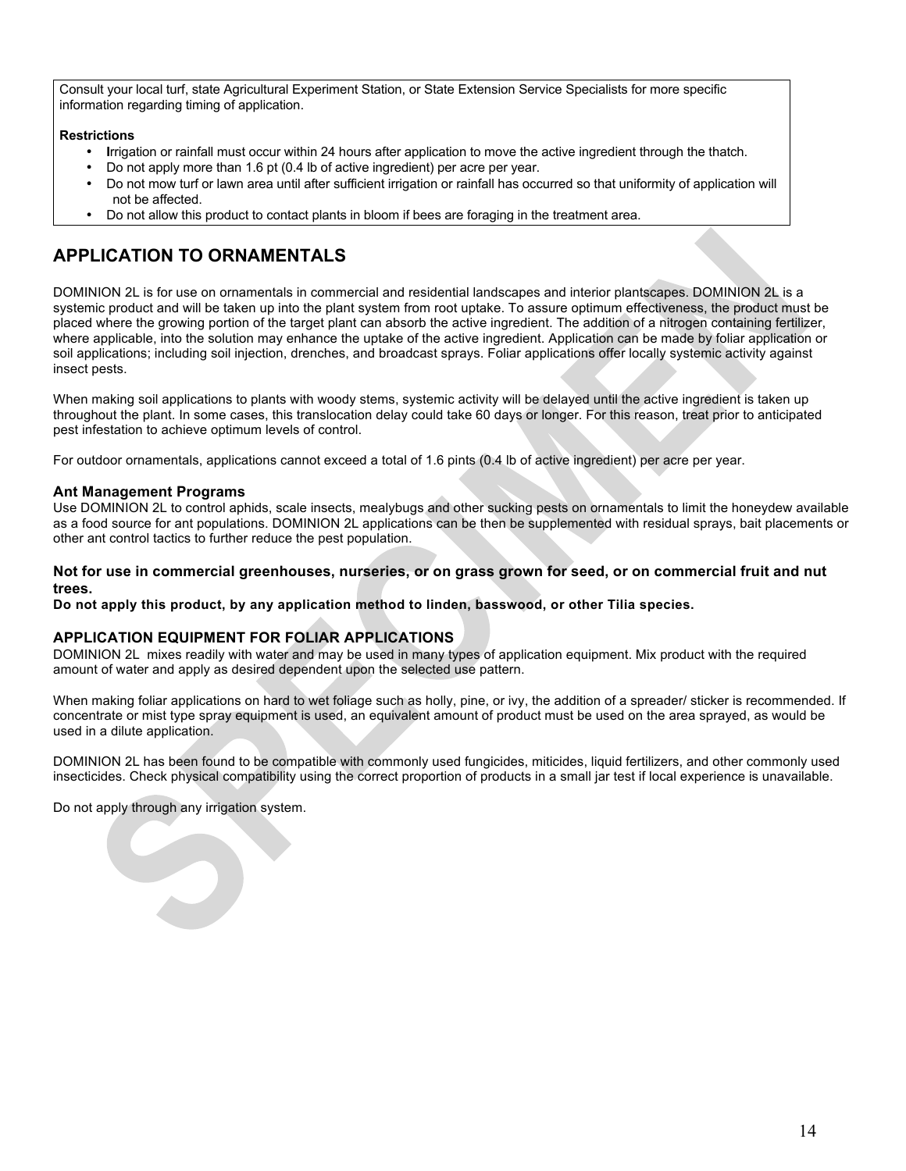Consult your local turf, state Agricultural Experiment Station, or State Extension Service Specialists for more specific information regarding timing of application.

### **Restrictions**

- **I**rrigation or rainfall must occur within 24 hours after application to move the active ingredient through the thatch.
- Do not apply more than 1.6 pt (0.4 lb of active ingredient) per acre per year.
- Do not mow turf or lawn area until after sufficient irrigation or rainfall has occurred so that uniformity of application will not be affected.
- Do not allow this product to contact plants in bloom if bees are foraging in the treatment area.

## **APPLICATION TO ORNAMENTALS**

DOMINION 2L is for use on ornamentals in commercial and residential landscapes and interior plantscapes. DOMINION 2L is a systemic product and will be taken up into the plant system from root uptake. To assure optimum effectiveness, the product must be placed where the growing portion of the target plant can absorb the active ingredient. The addition of a nitrogen containing fertilizer, where applicable, into the solution may enhance the uptake of the active ingredient. Application can be made by foliar application or soil applications; including soil injection, drenches, and broadcast sprays. Foliar applications offer locally systemic activity against insect pests.

When making soil applications to plants with woody stems, systemic activity will be delayed until the active ingredient is taken up throughout the plant. In some cases, this translocation delay could take 60 days or longer. For this reason, treat prior to anticipated pest infestation to achieve optimum levels of control.

For outdoor ornamentals, applications cannot exceed a total of 1.6 pints (0.4 lb of active ingredient) per acre per year.

#### **Ant Management Programs**

Use DOMINION 2L to control aphids, scale insects, mealybugs and other sucking pests on ornamentals to limit the honeydew available as a food source for ant populations. DOMINION 2L applications can be then be supplemented with residual sprays, bait placements or other ant control tactics to further reduce the pest population.

#### **Not for use in commercial greenhouses, nurseries, or on grass grown for seed, or on commercial fruit and nut trees.**

**Do not apply this product, by any application method to linden, basswood, or other Tilia species.**

## **APPLICATION EQUIPMENT FOR FOLIAR APPLICATIONS**

DOMINION 2L mixes readily with water and may be used in many types of application equipment. Mix product with the required amount of water and apply as desired dependent upon the selected use pattern.

When making foliar applications on hard to wet foliage such as holly, pine, or ivy, the addition of a spreader/ sticker is recommended. If concentrate or mist type spray equipment is used, an equivalent amount of product must be used on the area sprayed, as would be used in a dilute application.

DOMINION 2L has been found to be compatible with commonly used fungicides, miticides, liquid fertilizers, and other commonly used insecticides. Check physical compatibility using the correct proportion of products in a small jar test if local experience is unavailable.

Do not apply through any irrigation system.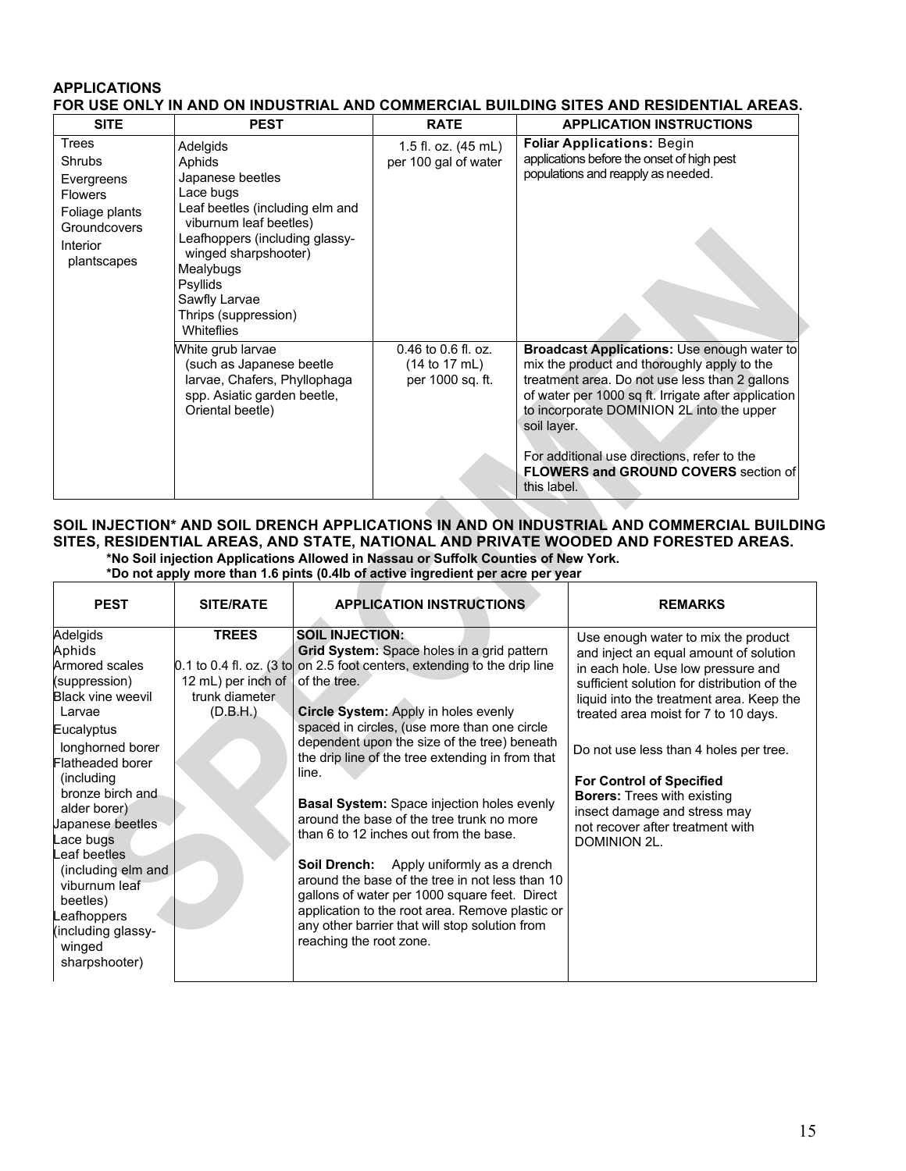## **APPLICATIONS FOR USE ONLY IN AND ON INDUSTRIAL AND COMMERCIAL BUILDING SITES AND RESIDENTIAL AREAS.**

| <b>SITE</b>                                                                                                                | <b>PEST</b>                                                                                                                                                                                                                                                              | <b>RATE</b>                                                                     | <b>APPLICATION INSTRUCTIONS</b>                                                                                                                                                                                                                                                                                                                                                     |
|----------------------------------------------------------------------------------------------------------------------------|--------------------------------------------------------------------------------------------------------------------------------------------------------------------------------------------------------------------------------------------------------------------------|---------------------------------------------------------------------------------|-------------------------------------------------------------------------------------------------------------------------------------------------------------------------------------------------------------------------------------------------------------------------------------------------------------------------------------------------------------------------------------|
| Trees<br><b>Shrubs</b><br>Evergreens<br><b>Flowers</b><br>Foliage plants<br><b>Groundcovers</b><br>Interior<br>plantscapes | Adelgids<br>Aphids<br>Japanese beetles<br>Lace bugs<br>Leaf beetles (including elm and<br>viburnum leaf beetles)<br>Leafhoppers (including glassy-<br>winged sharpshooter)<br>Mealybugs<br><b>Psyllids</b><br>Sawfly Larvae<br>Thrips (suppression)<br><b>Whiteflies</b> | 1.5 fl. oz. (45 mL)<br>per 100 gal of water                                     | <b>Foliar Applications: Begin</b><br>applications before the onset of high pest<br>populations and reapply as needed.                                                                                                                                                                                                                                                               |
|                                                                                                                            | White grub larvae<br>(such as Japanese beetle<br>larvae, Chafers, Phyllophaga<br>spp. Asiatic garden beetle,<br>Oriental beetle)                                                                                                                                         | $0.46$ to $0.6$ fl. oz.<br>$(14 \text{ to } 17 \text{ mL})$<br>per 1000 sq. ft. | <b>Broadcast Applications:</b> Use enough water to<br>mix the product and thoroughly apply to the<br>treatment area. Do not use less than 2 gallons<br>of water per 1000 sq ft. Irrigate after application<br>to incorporate DOMINION 2L into the upper<br>soil layer.<br>For additional use directions, refer to the<br><b>FLOWERS and GROUND COVERS</b> section of<br>this label. |

## **SOIL INJECTION\* AND SOIL DRENCH APPLICATIONS IN AND ON INDUSTRIAL AND COMMERCIAL BUILDING SITES, RESIDENTIAL AREAS, AND STATE, NATIONAL AND PRIVATE WOODED AND FORESTED AREAS. \*No Soil injection Applications Allowed in Nassau or Suffolk Counties of New York.**

**\*Do not apply more than 1.6 pints (0.4Ib of active ingredient per acre per year**

| <b>PEST</b>                                                                                                                                                                                                                                                                                                                                                              | <b>SITE/RATE</b>                                                 | <b>APPLICATION INSTRUCTIONS</b>                                                                                                                                                                                                                                                                                                                                                                                                                                                                                                                                                                                                                                                                                                                                                                            | <b>REMARKS</b>                                                                                                                                                                                                                                                                                                                                                                                                                                                |
|--------------------------------------------------------------------------------------------------------------------------------------------------------------------------------------------------------------------------------------------------------------------------------------------------------------------------------------------------------------------------|------------------------------------------------------------------|------------------------------------------------------------------------------------------------------------------------------------------------------------------------------------------------------------------------------------------------------------------------------------------------------------------------------------------------------------------------------------------------------------------------------------------------------------------------------------------------------------------------------------------------------------------------------------------------------------------------------------------------------------------------------------------------------------------------------------------------------------------------------------------------------------|---------------------------------------------------------------------------------------------------------------------------------------------------------------------------------------------------------------------------------------------------------------------------------------------------------------------------------------------------------------------------------------------------------------------------------------------------------------|
| Adelgids<br>Aphids<br>Armored scales<br>(suppression)<br><b>Black vine weevil</b><br>Larvae<br>Eucalyptus<br>longhorned borer<br>Flatheaded borer<br>(including)<br>bronze birch and<br>alder borer)<br>Japanese beetles<br>Lace bugs<br>Leaf beetles<br>(including elm and<br>viburnum leaf<br>beetles)<br>Leafhoppers<br>(including glassy-<br>winged<br>sharpshooter) | <b>TREES</b><br>12 mL) per inch of<br>trunk diameter<br>(D.B.H.) | <b>SOIL INJECTION:</b><br>Grid System: Space holes in a grid pattern<br>$0.1$ to 0.4 fl. oz. (3 to on 2.5 foot centers, extending to the drip line<br>of the tree.<br>Circle System: Apply in holes evenly<br>spaced in circles, (use more than one circle<br>dependent upon the size of the tree) beneath<br>the drip line of the tree extending in from that<br>line.<br><b>Basal System:</b> Space injection holes evenly<br>around the base of the tree trunk no more<br>than 6 to 12 inches out from the base.<br><b>Soil Drench:</b> Apply uniformly as a drench<br>around the base of the tree in not less than 10<br>gallons of water per 1000 square feet. Direct<br>application to the root area. Remove plastic or<br>any other barrier that will stop solution from<br>reaching the root zone. | Use enough water to mix the product<br>and inject an equal amount of solution<br>in each hole. Use low pressure and<br>sufficient solution for distribution of the<br>liquid into the treatment area. Keep the<br>treated area moist for 7 to 10 days.<br>Do not use less than 4 holes per tree.<br><b>For Control of Specified</b><br><b>Borers: Trees with existing</b><br>insect damage and stress may<br>not recover after treatment with<br>DOMINION 2L. |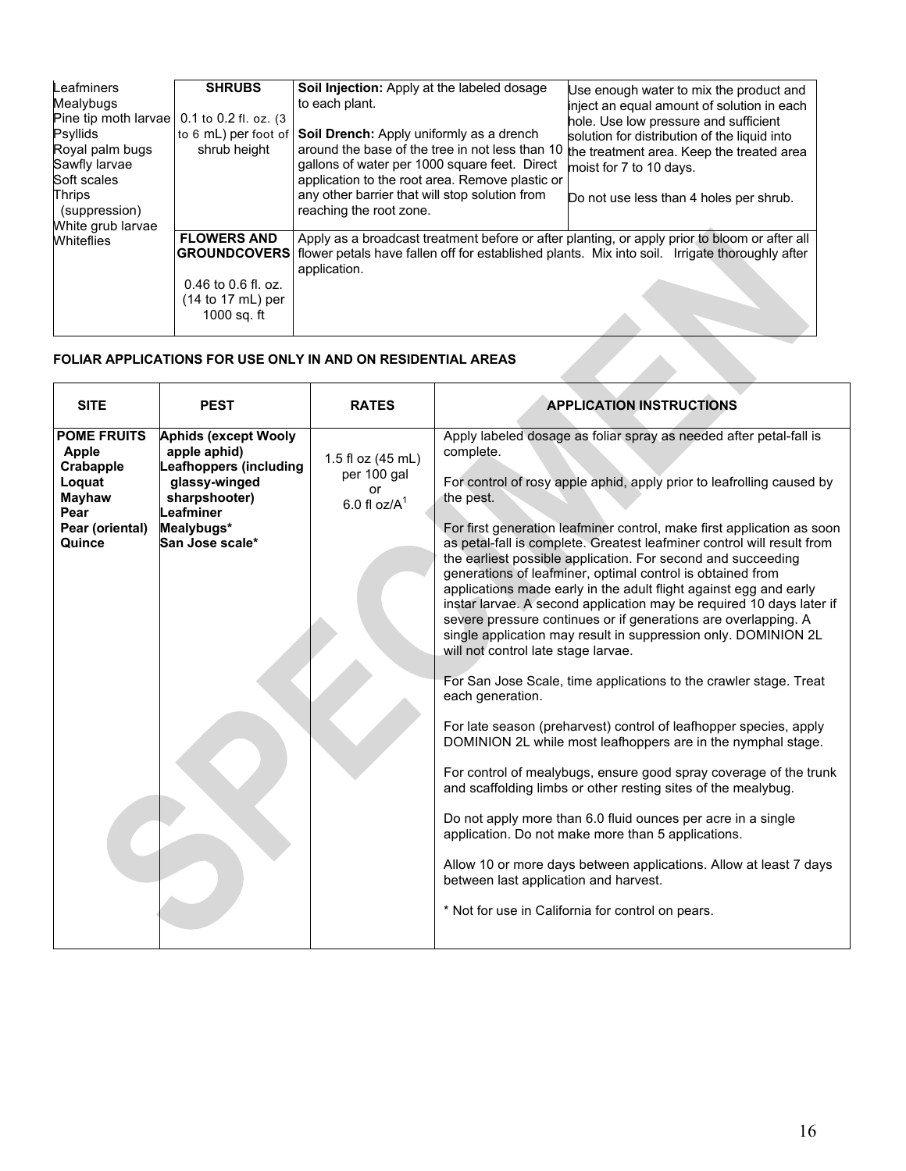| Leafminers<br>Mealybugs<br>Pine tip moth larvae<br>Psyllids<br>Royal palm bugs<br>Sawfly larvae<br>Soft scales<br><b>Thrips</b><br>(suppression)<br>White grub larvae<br><b>Whiteflies</b> | <b>SHRUBS</b><br>0.1 to 0.2 fl. oz. (3)<br>to 6 mL) per foot of<br>shrub height                            | <b>Soil Injection:</b> Apply at the labeled dosage<br>to each plant.<br>Soil Drench: Apply uniformly as a drench<br>around the base of the tree in not less than 10<br>gallons of water per 1000 square feet. Direct<br>application to the root area. Remove plastic or<br>any other barrier that will stop solution from<br>reaching the root zone. | Use enough water to mix the product and<br>inject an equal amount of solution in each<br>hole. Use low pressure and sufficient<br>solution for distribution of the liquid into<br>the treatment area. Keep the treated area<br>moist for 7 to 10 days.<br>Do not use less than 4 holes per shrub. |
|--------------------------------------------------------------------------------------------------------------------------------------------------------------------------------------------|------------------------------------------------------------------------------------------------------------|------------------------------------------------------------------------------------------------------------------------------------------------------------------------------------------------------------------------------------------------------------------------------------------------------------------------------------------------------|---------------------------------------------------------------------------------------------------------------------------------------------------------------------------------------------------------------------------------------------------------------------------------------------------|
|                                                                                                                                                                                            | <b>FLOWERS AND</b><br><b>GROUNDCOVERS</b><br>$0.46$ to $0.6$ fl. oz.<br>$(14 to 17 mL)$ per<br>1000 sq. ft | Apply as a broadcast treatment before or after planting, or apply prior to bloom or after all<br>flower petals have fallen off for established plants. Mix into soil. Irrigate thoroughly after<br>application.                                                                                                                                      |                                                                                                                                                                                                                                                                                                   |

## **FOLIAR APPLICATIONS FOR USE ONLY IN AND ON RESIDENTIAL AREAS**

| <b>POME FRUITS</b><br><b>Aphids (except Wooly</b><br>Apply labeled dosage as foliar spray as needed after petal-fall is<br>apple aphid)<br>complete.<br><b>Apple</b><br>1.5 fl oz (45 mL)<br><b>Leafhoppers (including</b><br>Crabapple<br>per 100 gal<br>glassy-winged<br>For control of rosy apple aphid, apply prior to leafrolling caused by<br>Loquat<br>or<br>Mayhaw<br>sharpshooter)<br>the pest.<br>6.0 fl $oz/A$ <sup>1</sup><br>Leafminer<br>Pear<br>Pear (oriental)<br>Mealybugs*<br>For first generation leafminer control, make first application as soon<br>San Jose scale*<br>as petal-fall is complete. Greatest leafminer control will result from<br>Quince<br>the earliest possible application. For second and succeeding<br>generations of leafminer, optimal control is obtained from<br>applications made early in the adult flight against egg and early<br>instar larvae. A second application may be required 10 days later if<br>severe pressure continues or if generations are overlapping. A |
|----------------------------------------------------------------------------------------------------------------------------------------------------------------------------------------------------------------------------------------------------------------------------------------------------------------------------------------------------------------------------------------------------------------------------------------------------------------------------------------------------------------------------------------------------------------------------------------------------------------------------------------------------------------------------------------------------------------------------------------------------------------------------------------------------------------------------------------------------------------------------------------------------------------------------------------------------------------------------------------------------------------------------|
| single application may result in suppression only. DOMINION 2L<br>will not control late stage larvae.<br>For San Jose Scale, time applications to the crawler stage. Treat<br>each generation.<br>For late season (preharvest) control of leafhopper species, apply<br>DOMINION 2L while most leafhoppers are in the nymphal stage.<br>For control of mealybugs, ensure good spray coverage of the trunk<br>and scaffolding limbs or other resting sites of the mealybug.<br>Do not apply more than 6.0 fluid ounces per acre in a single<br>application. Do not make more than 5 applications.<br>Allow 10 or more days between applications. Allow at least 7 days<br>between last application and harvest.<br>* Not for use in California for control on pears.                                                                                                                                                                                                                                                         |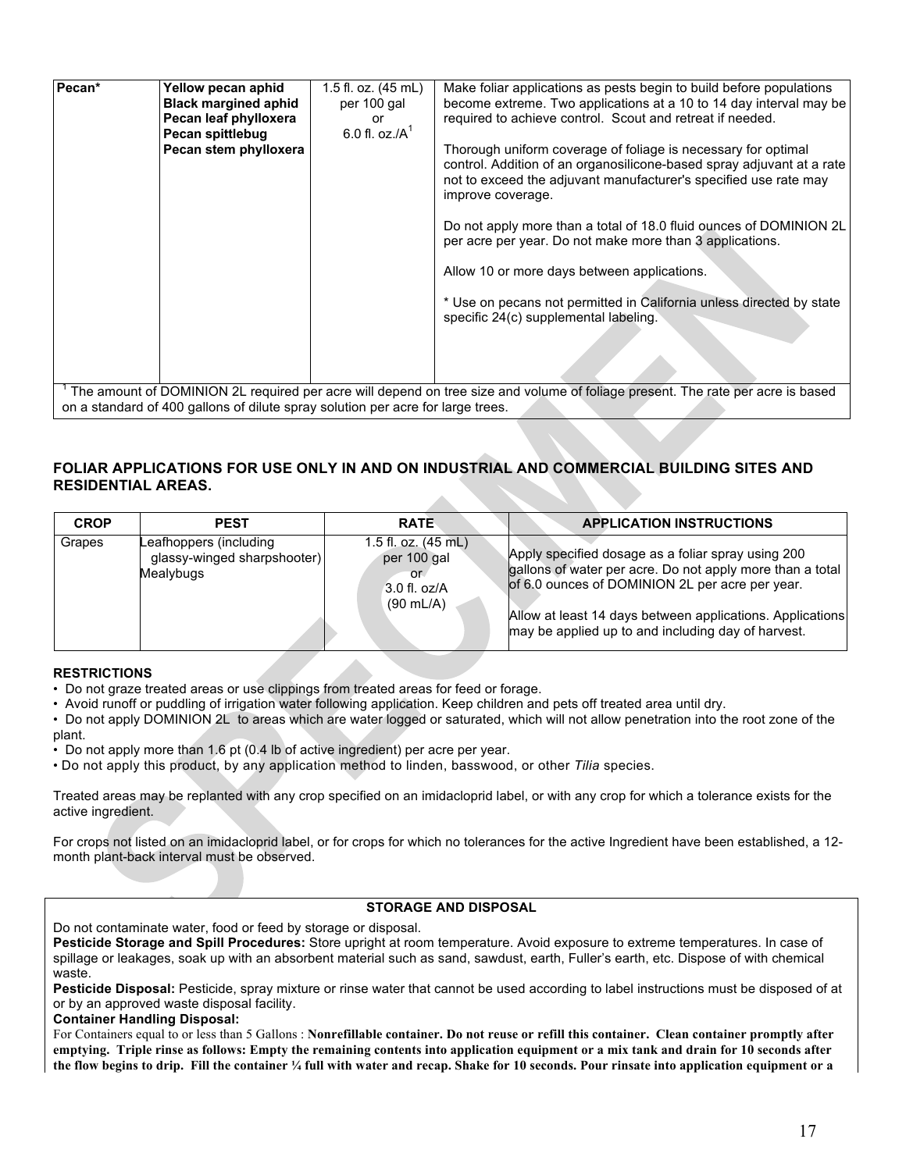| Pecan* | Yellow pecan aphid<br><b>Black margined aphid</b><br>Pecan leaf phylloxera<br>Pecan spittlebug<br>Pecan stem phylloxera | 1.5 fl. oz. (45 mL)<br>per 100 gal<br>or<br>6.0 fl. oz./ $A^1$ | Make foliar applications as pests begin to build before populations<br>become extreme. Two applications at a 10 to 14 day interval may be<br>required to achieve control. Scout and retreat if needed.<br>Thorough uniform coverage of foliage is necessary for optimal<br>control. Addition of an organosilicone-based spray adjuvant at a rate<br>not to exceed the adjuvant manufacturer's specified use rate may<br>improve coverage.<br>Do not apply more than a total of 18.0 fluid ounces of DOMINION 2L<br>per acre per year. Do not make more than 3 applications.<br>Allow 10 or more days between applications.<br>* Use on pecans not permitted in California unless directed by state<br>specific 24(c) supplemental labeling. |
|--------|-------------------------------------------------------------------------------------------------------------------------|----------------------------------------------------------------|---------------------------------------------------------------------------------------------------------------------------------------------------------------------------------------------------------------------------------------------------------------------------------------------------------------------------------------------------------------------------------------------------------------------------------------------------------------------------------------------------------------------------------------------------------------------------------------------------------------------------------------------------------------------------------------------------------------------------------------------|
|        | on a standard of 400 gallons of dilute spray solution per acre for large trees.                                         |                                                                | The amount of DOMINION 2L required per acre will depend on tree size and volume of foliage present. The rate per acre is based                                                                                                                                                                                                                                                                                                                                                                                                                                                                                                                                                                                                              |

#### **FOLIAR APPLICATIONS FOR USE ONLY IN AND ON INDUSTRIAL AND COMMERCIAL BUILDING SITES AND RESIDENTIAL AREAS.** z.

| <b>CROP</b> | <b>PEST</b>                                                        | <b>RATE</b>                                                                                  | <b>APPLICATION INSTRUCTIONS</b>                                                                                                                                                                                                                                                       |
|-------------|--------------------------------------------------------------------|----------------------------------------------------------------------------------------------|---------------------------------------------------------------------------------------------------------------------------------------------------------------------------------------------------------------------------------------------------------------------------------------|
| Grapes      | Leafhoppers (including<br>glassy-winged sharpshooter)<br>Mealybugs | 1.5 fl. oz. $(45 \text{ mL})$<br>per 100 gal<br>or.<br>$3.0$ fl. oz/A<br>$(90 \text{ mL/A})$ | Apply specified dosage as a foliar spray using 200<br>gallons of water per acre. Do not apply more than a total<br>of 6.0 ounces of DOMINION 2L per acre per year.<br>Allow at least 14 days between applications. Applications<br>may be applied up to and including day of harvest. |

### **RESTRICTIONS**

• Do not graze treated areas or use clippings from treated areas for feed or forage.

• Avoid runoff or puddling of irrigation water following application. Keep children and pets off treated area until dry.

• Do not apply DOMINION 2L to areas which are water logged or saturated, which will not allow penetration into the root zone of the plant.

• Do not apply more than 1.6 pt (0.4 lb of active ingredient) per acre per year.

• Do not apply this product, by any application method to linden, basswood, or other *Tilia* species.

Treated areas may be replanted with any crop specified on an imidacloprid label, or with any crop for which a tolerance exists for the active ingredient.

For crops not listed on an imidacloprid label, or for crops for which no tolerances for the active Ingredient have been established, a 12 month plant-back interval must be observed.

## **STORAGE AND DISPOSAL**

Do not contaminate water, food or feed by storage or disposal.

**Pesticide Storage and Spill Procedures:** Store upright at room temperature. Avoid exposure to extreme temperatures. In case of spillage or leakages, soak up with an absorbent material such as sand, sawdust, earth, Fuller's earth, etc. Dispose of with chemical waste.

**Pesticide Disposal:** Pesticide, spray mixture or rinse water that cannot be used according to label instructions must be disposed of at or by an approved waste disposal facility.

#### **Container Handling Disposal:**

For Containers equal to or less than 5 Gallons : **Nonrefillable container. Do not reuse or refill this container. Clean container promptly after emptying. Triple rinse as follows: Empty the remaining contents into application equipment or a mix tank and drain for 10 seconds after the flow begins to drip. Fill the container ¼ full with water and recap. Shake for 10 seconds. Pour rinsate into application equipment or a**